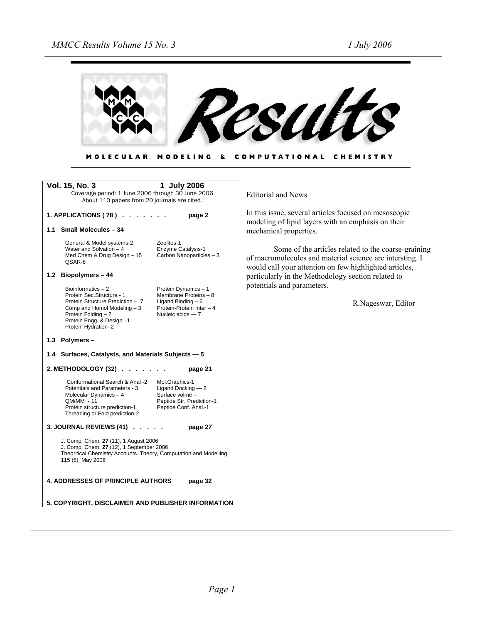

MOLECULAR MODELING & COMPUTATIONAL CHEMISTRY

| <b>Vol. 15, No. 3</b><br>1 July 2006<br>Coverage period: 1 June 2006 through 30 June 2006<br>About 110 papers from 20 journals are cited.                                                                                                                                                                                | <b>Editorial and News</b>                                                                                                                                                 |
|--------------------------------------------------------------------------------------------------------------------------------------------------------------------------------------------------------------------------------------------------------------------------------------------------------------------------|---------------------------------------------------------------------------------------------------------------------------------------------------------------------------|
| 1. APPLICATIONS (78) $\ldots$<br>page 2<br>1.1 Small Molecules - 34                                                                                                                                                                                                                                                      | In this issue, several articles focused on mesoscopic<br>modeling of lipid layers with an emphasis on their<br>mechanical properties.                                     |
| Zeolites-1<br>General & Model systems-2<br>Enzyme Catalysis-1<br>Water and Solvation $-4$<br>Carbon Nanoparticles - 3<br>Med Chem & Drug Design - 15<br>QSAR-8                                                                                                                                                           | Some of the articles related to the coarse-graining<br>of macromolecules and material science are intersting. I<br>would call your attention on few highlighted articles, |
| 1.2 Biopolymers - 44                                                                                                                                                                                                                                                                                                     | particularly in the Methodology section related to                                                                                                                        |
| Bioinformatics $-2$<br>Protein Dynamics - 1<br>Protein Sec.Structure - 1<br>Membrane Proteins - 8<br>Protein Structure Prediction - 7<br>Ligand Binding $-6$<br>Protein-Protein Inter - 4<br>Comp and Homol Modeling - 3<br>Protein Folding - 2<br>Nucleic acids $-7$<br>Protein Engg. & Design-1<br>Protein Hydration-2 | potentials and parameters.<br>R.Nageswar, Editor                                                                                                                          |
| 1.3 Polymers -                                                                                                                                                                                                                                                                                                           |                                                                                                                                                                           |
| 1.4 Surfaces, Catalysts, and Materials Subjects - 5                                                                                                                                                                                                                                                                      |                                                                                                                                                                           |
| 2. METHODOLOGY (32)<br>page 21                                                                                                                                                                                                                                                                                           |                                                                                                                                                                           |
| Conformational Search & Anal -2<br>Mol.Graphics-1<br>Potentials and Parameters - 3<br>Ligand Docking $-2$<br>Surface volme -<br>Molecular Dynamics $-4$<br>Peptide Str. Prediction-1<br>QM/MM - 11<br>Peptide Conf. Anal.-1<br>Protein structure prediction-1<br>Threading or Fold prediction-2                          |                                                                                                                                                                           |
| 3. JOURNAL REVIEWS (41)<br>page 27                                                                                                                                                                                                                                                                                       |                                                                                                                                                                           |
| J. Comp. Chem. 27 (11), 1 August 2006<br>J. Comp. Chem. 27 (12), 1 September 2006<br>Theoritical Chemistry Accounts. Theory, Computation and Modelling,<br>115 (5), May 2006                                                                                                                                             |                                                                                                                                                                           |
| <b>4. ADDRESSES OF PRINCIPLE AUTHORS</b><br>page 32                                                                                                                                                                                                                                                                      |                                                                                                                                                                           |
| 5. COPYRIGHT, DISCLAIMER AND PUBLISHER INFORMATION                                                                                                                                                                                                                                                                       |                                                                                                                                                                           |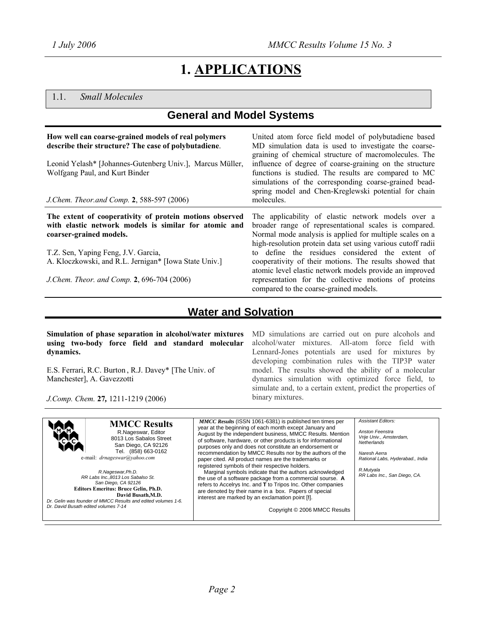# **1. APPLICATIONS**

## 1.1. *Small Molecules*

## **General and Model Systems**

| How well can coarse-grained models of real polymers<br>describe their structure? The case of polybutadiene.<br>Leonid Yelash* [Johannes-Gutenberg Univ.], Marcus Müller,<br>Wolfgang Paul, and Kurt Binder<br>J.Chem. Theor.and Comp. 2, 588-597 (2006) | United atom force field model of polybutadiene based<br>MD simulation data is used to investigate the coarse-<br>graining of chemical structure of macromolecules. The<br>influence of degree of coarse-graining on the structure<br>functions is studied. The results are compared to MC<br>simulations of the corresponding coarse-grained bead-<br>spring model and Chen-Kreglewski potential for chain<br>molecules. |
|---------------------------------------------------------------------------------------------------------------------------------------------------------------------------------------------------------------------------------------------------------|--------------------------------------------------------------------------------------------------------------------------------------------------------------------------------------------------------------------------------------------------------------------------------------------------------------------------------------------------------------------------------------------------------------------------|
| The extent of cooperativity of protein motions observed<br>with elastic network models is similar for atomic and<br>coarser-grained models.                                                                                                             | The applicability of elastic network models over a<br>broader range of representational scales is compared.<br>Normal mode analysis is applied for multiple scales on a<br>high-resolution protein data set using various cutoff radii                                                                                                                                                                                   |
| T.Z. Sen, Yaping Feng, J.V. Garcia,<br>A. Kloczkowski, and R.L. Jernigan* [Iowa State Univ.]<br>J.Chem. Theor. and Comp. 2, 696-704 (2006)                                                                                                              | to define the residues considered the extent of<br>cooperativity of their motions. The results showed that<br>atomic level elastic network models provide an improved<br>representation for the collective motions of proteins<br>compared to the coarse-grained models.                                                                                                                                                 |

## **Water and Solvation**

**Simulation of phase separation in alcohol/water mixtures using two-body force field and standard molecular dynamics.** 

E.S. Ferrari, R.C. Burton , R.J. Davey\* [The Univ. of Manchester], A. Gavezzotti

*J.Comp. Chem.* **27***,* 1211-1219 (2006)

MD simulations are carried out on pure alcohols and alcohol/water mixtures. All-atom force field with Lennard-Jones potentials are used for mixtures by developing combination rules with the TIP3P water model. The results showed the ability of a molecular dynamics simulation with optimized force field, to simulate and, to a certain extent, predict the properties of binary mixtures.

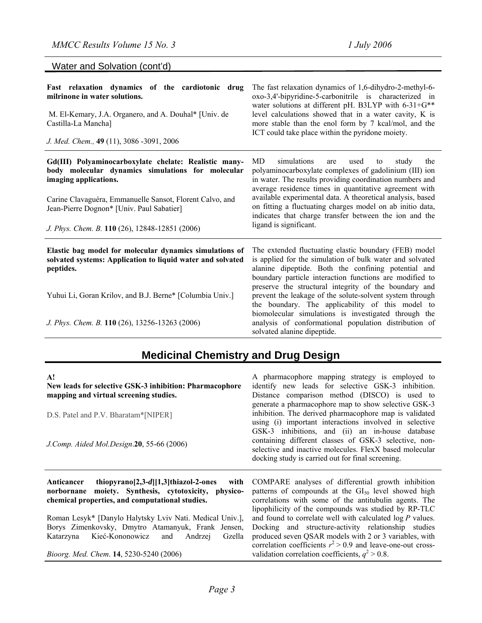Water and Solvation (cont'd)

| Fast relaxation dynamics of the cardiotonic drug<br>milrinone in water solutions.<br>M. El-Kemary, J.A. Organero, and A. Douhal* [Univ. de<br>Castilla-La Mancha]<br>J. Med. Chem., 49 (11), 3086 -3091, 2006                                                                                  | The fast relaxation dynamics of 1,6-dihydro-2-methyl-6-<br>oxo-3,4'-bipyridine-5-carbonitrile is characterized in<br>water solutions at different pH. B3LYP with 6-31+G**<br>level calculations showed that in a water cavity, K is<br>more stable than the enol form by 7 kcal/mol, and the<br>ICT could take place within the pyridone moiety.                                                                                                                     |
|------------------------------------------------------------------------------------------------------------------------------------------------------------------------------------------------------------------------------------------------------------------------------------------------|----------------------------------------------------------------------------------------------------------------------------------------------------------------------------------------------------------------------------------------------------------------------------------------------------------------------------------------------------------------------------------------------------------------------------------------------------------------------|
| Gd(III) Polyaminocarboxylate chelate: Realistic many-<br>body molecular dynamics simulations for molecular<br>imaging applications.<br>Carine Clavaguéra, Emmanuelle Sansot, Florent Calvo, and<br>Jean-Pierre Dognon* [Univ. Paul Sabatier]<br>J. Phys. Chem. B. 110 (26), 12848-12851 (2006) | simulations<br>MD<br>used<br>study<br>the<br>are<br>to<br>polyaminocarboxylate complexes of gadolinium (III) ion<br>in water. The results providing coordination numbers and<br>average residence times in quantitative agreement with<br>available experimental data. A theoretical analysis, based<br>on fitting a fluctuating charges model on ab initio data,<br>indicates that charge transfer between the ion and the<br>ligand is significant.                |
| Elastic bag model for molecular dynamics simulations of<br>solvated systems: Application to liquid water and solvated<br>peptides.<br>Yuhui Li, Goran Krilov, and B.J. Berne* [Columbia Univ.]                                                                                                 | The extended fluctuating elastic boundary (FEB) model<br>is applied for the simulation of bulk water and solvated<br>alanine dipeptide. Both the confining potential and<br>boundary particle interaction functions are modified to<br>preserve the structural integrity of the boundary and<br>prevent the leakage of the solute-solvent system through<br>the boundary. The applicability of this model to<br>biomolecular simulations is investigated through the |
| J. Phys. Chem. B. 110 (26), 13256-13263 (2006)                                                                                                                                                                                                                                                 | analysis of conformational population distribution of<br>solvated alanine dipeptide.                                                                                                                                                                                                                                                                                                                                                                                 |

# **Medicinal Chemistry and Drug Design**

| ${\bf A}!$<br>New leads for selective GSK-3 inhibition: Pharmacophore<br>mapping and virtual screening studies.                                                           | A pharmacophore mapping strategy is employed to<br>identify new leads for selective GSK-3 inhibition.<br>Distance comparison method (DISCO) is used to<br>generate a pharmacophore map to show selective GSK-3                  |
|---------------------------------------------------------------------------------------------------------------------------------------------------------------------------|---------------------------------------------------------------------------------------------------------------------------------------------------------------------------------------------------------------------------------|
| D.S. Patel and P.V. Bharatam*[NIPER]                                                                                                                                      | inhibition. The derived pharmacophore map is validated<br>using (i) important interactions involved in selective                                                                                                                |
| J.Comp. Aided Mol.Design.20, 55-66 (2006)                                                                                                                                 | GSK-3 inhibitions, and (ii) an in-house database<br>containing different classes of GSK-3 selective, non-<br>selective and inactive molecules. FlexX based molecular<br>docking study is carried out for final screening.       |
| thiopyrano $[2,3-d][1,3]$ thiazol-2-ones<br>with<br>Anticancer<br>norbornane moiety. Synthesis, cytotoxicity, physico-<br>chemical properties, and computational studies. | COMPARE analyses of differential growth inhibition<br>patterns of compounds at the $GI_{50}$ level showed high<br>correlations with some of the antitubulin agents. The<br>lipophilicity of the compounds was studied by RP-TLC |
| Roman Lesyk* [Danylo Halytsky Lviv Nati. Medical Univ.],                                                                                                                  | and found to correlate well with calculated $log P$ values.                                                                                                                                                                     |
| Borys Zimenkovsky, Dmytro Atamanyuk, Frank Jensen,                                                                                                                        | Docking and structure-activity relationship studies                                                                                                                                                                             |
| Kieć-Kononowicz<br>and<br>Andrzej<br>Gzella<br>Katarzyna                                                                                                                  | produced seven QSAR models with 2 or 3 variables, with<br>correlation coefficients $r^2 > 0.9$ and leave-one-out cross-                                                                                                         |
| Bioorg. Med. Chem. 14, 5230-5240 (2006)                                                                                                                                   | validation correlation coefficients, $q^2 > 0.8$ .                                                                                                                                                                              |

*Bioorg. Med. Chem*. **14**, 5230-5240 (2006)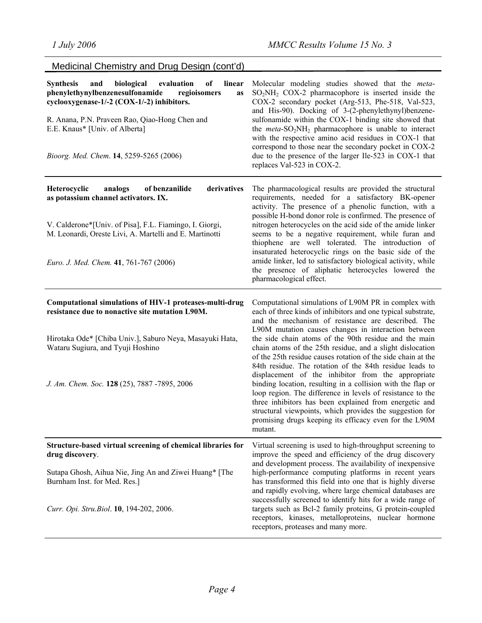| Medicinal Chemistry and Drug Design (cont'd)                                                                                                                                                                                                                                                              |                                                                                                                                                                                                                                                                                                                                                                                                                                                                                                                                                                                                                                                                                                                                                                                                                                                                  |
|-----------------------------------------------------------------------------------------------------------------------------------------------------------------------------------------------------------------------------------------------------------------------------------------------------------|------------------------------------------------------------------------------------------------------------------------------------------------------------------------------------------------------------------------------------------------------------------------------------------------------------------------------------------------------------------------------------------------------------------------------------------------------------------------------------------------------------------------------------------------------------------------------------------------------------------------------------------------------------------------------------------------------------------------------------------------------------------------------------------------------------------------------------------------------------------|
| linear<br><b>Synthesis</b><br>and<br>biological<br>evaluation<br>of<br>phenylethynylbenzenesulfonamide<br>regioisomers<br>as<br>cyclooxygenase-1/-2 (COX-1/-2) inhibitors.<br>R. Anana, P.N. Praveen Rao, Qiao-Hong Chen and<br>E.E. Knaus* [Univ. of Alberta]<br>Bioorg. Med. Chem. 14, 5259-5265 (2006) | Molecular modeling studies showed that the meta-<br>$SO2NH2 COX-2$ pharmacophore is inserted inside the<br>COX-2 secondary pocket (Arg-513, Phe-518, Val-523,<br>and His-90). Docking of 3-(2-phenylethynyl)benzene-<br>sulfonamide within the COX-1 binding site showed that<br>the $meta$ - $SO_2NH_2$ pharmacophore is unable to interact<br>with the respective amino acid residues in COX-1 that<br>correspond to those near the secondary pocket in COX-2<br>due to the presence of the larger Ile-523 in COX-1 that<br>replaces Val-523 in COX-2.                                                                                                                                                                                                                                                                                                         |
| derivatives<br>Heterocyclic<br>analogs<br>of benzanilide<br>as potassium channel activators. IX.<br>V. Calderone*[Univ. of Pisa], F.L. Fiamingo, I. Giorgi,<br>M. Leonardi, Oreste Livi, A. Martelli and E. Martinotti<br>Euro. J. Med. Chem. 41, 761-767 (2006)                                          | The pharmacological results are provided the structural<br>requirements, needed for a satisfactory BK-opener<br>activity. The presence of a phenolic function, with a<br>possible H-bond donor role is confirmed. The presence of<br>nitrogen heterocycles on the acid side of the amide linker<br>seems to be a negative requirement, while furan and<br>thiophene are well tolerated. The introduction of<br>insaturated heterocyclic rings on the basic side of the<br>amide linker, led to satisfactory biological activity, while<br>the presence of aliphatic heterocycles lowered the<br>pharmacological effect.                                                                                                                                                                                                                                          |
| Computational simulations of HIV-1 proteases-multi-drug<br>resistance due to nonactive site mutation L90M.<br>Hirotaka Ode* [Chiba Univ.], Saburo Neya, Masayuki Hata,<br>Wataru Sugiura, and Tyuji Hoshino<br>J. Am. Chem. Soc. 128 (25), 7887 -7895, 2006                                               | Computational simulations of L90M PR in complex with<br>each of three kinds of inhibitors and one typical substrate,<br>and the mechanism of resistance are described. The<br>L90M mutation causes changes in interaction between<br>the side chain atoms of the 90th residue and the main<br>chain atoms of the 25th residue, and a slight dislocation<br>of the 25th residue causes rotation of the side chain at the<br>84th residue. The rotation of the 84th residue leads to<br>displacement of the inhibitor from the appropriate<br>binding location, resulting in a collision with the flap or<br>loop region. The difference in levels of resistance to the<br>three inhibitors has been explained from energetic and<br>structural viewpoints, which provides the suggestion for<br>promising drugs keeping its efficacy even for the L90M<br>mutant. |
| Structure-based virtual screening of chemical libraries for<br>drug discovery.<br>Sutapa Ghosh, Aihua Nie, Jing An and Ziwei Huang* [The<br>Burnham Inst. for Med. Res.]<br>Curr. Opi. Stru. Biol. 10, 194-202, 2006.                                                                                     | Virtual screening is used to high-throughput screening to<br>improve the speed and efficiency of the drug discovery<br>and development process. The availability of inexpensive<br>high-performance computing platforms in recent years<br>has transformed this field into one that is highly diverse<br>and rapidly evolving, where large chemical databases are<br>successfully screened to identify hits for a wide range of<br>targets such as Bcl-2 family proteins, G protein-coupled<br>receptors, kinases, metalloproteins, nuclear hormone<br>receptors, proteases and many more.                                                                                                                                                                                                                                                                       |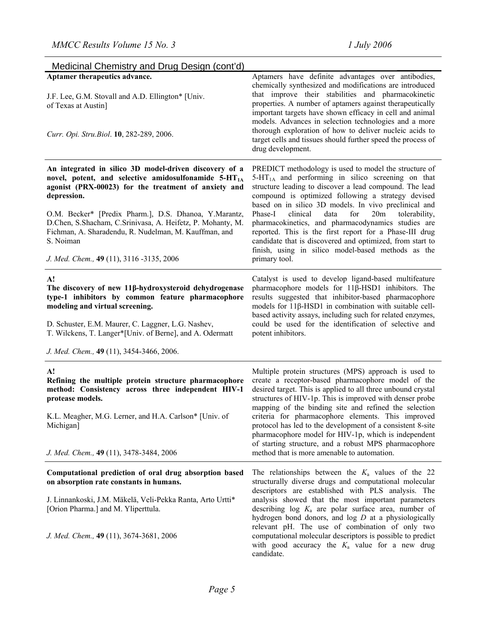| Medicinal Chemistry and Drug Design (cont'd)                                                                                                                                                                                                                                                                                                                                                                                               |                                                                                                                                                                                                                                                                                                                                                                                                                                                                                                                                                                                                                     |
|--------------------------------------------------------------------------------------------------------------------------------------------------------------------------------------------------------------------------------------------------------------------------------------------------------------------------------------------------------------------------------------------------------------------------------------------|---------------------------------------------------------------------------------------------------------------------------------------------------------------------------------------------------------------------------------------------------------------------------------------------------------------------------------------------------------------------------------------------------------------------------------------------------------------------------------------------------------------------------------------------------------------------------------------------------------------------|
| Aptamer therapeutics advance.<br>J.F. Lee, G.M. Stovall and A.D. Ellington* [Univ.<br>of Texas at Austin]<br>Curr. Opi. Stru. Biol. 10, 282-289, 2006.                                                                                                                                                                                                                                                                                     | Aptamers have definite advantages over antibodies,<br>chemically synthesized and modifications are introduced<br>that improve their stabilities and pharmacokinetic<br>properties. A number of aptamers against therapeutically<br>important targets have shown efficacy in cell and animal<br>models. Advances in selection technologies and a more<br>thorough exploration of how to deliver nucleic acids to<br>target cells and tissues should further speed the process of<br>drug development.                                                                                                                |
| An integrated in silico 3D model-driven discovery of a<br>novel, potent, and selective amidosulfonamide 5-HT <sub>1A</sub><br>agonist (PRX-00023) for the treatment of anxiety and<br>depression.<br>O.M. Becker* [Predix Pharm.], D.S. Dhanoa, Y.Marantz,<br>D.Chen, S.Shacham, C.Srinivasa, A. Heifetz, P. Mohanty, M.<br>Fichman, A. Sharadendu, R. Nudelman, M. Kauffman, and<br>S. Noiman<br>J. Med. Chem., 49 (11), 3116 -3135, 2006 | PREDICT methodology is used to model the structure of<br>5-HT <sub>1A</sub> and performing in silico screening on that<br>structure leading to discover a lead compound. The lead<br>compound is optimized following a strategy devised<br>based on in silico 3D models. In vivo preclinical and<br>data<br>Phase-I<br>clinical<br>for<br>20m<br>tolerability,<br>pharmacokinetics, and pharmacodynamics studies are<br>reported. This is the first report for a Phase-III drug<br>candidate that is discovered and optimized, from start to<br>finish, using in silico model-based methods as the<br>primary tool. |
| A!<br>The discovery of new 11β-hydroxysteroid dehydrogenase<br>type-1 inhibitors by common feature pharmacophore<br>modeling and virtual screening.<br>D. Schuster, E.M. Maurer, C. Laggner, L.G. Nashev,<br>T. Wilckens, T. Langer*[Univ. of Berne], and A. Odermatt<br>J. Med. Chem., 49 (11), 3454-3466, 2006.                                                                                                                          | Catalyst is used to develop ligand-based multifeature<br>pharmacophore models for 11β-HSD1 inhibitors. The<br>results suggested that inhibitor-based pharmacophore<br>models for $11\beta$ -HSD1 in combination with suitable cell-<br>based activity assays, including such for related enzymes,<br>could be used for the identification of selective and<br>potent inhibitors.                                                                                                                                                                                                                                    |
| A!<br>Refining the multiple protein structure pharmacophore<br>method: Consistency across three independent HIV-1<br>protease models.<br>K.L. Meagher, M.G. Lerner, and H.A. Carlson* [Univ. of<br>Michigan]<br>J. Med. Chem., 49 (11), 3478-3484, 2006                                                                                                                                                                                    | Multiple protein structures (MPS) approach is used to<br>create a receptor-based pharmacophore model of the<br>desired target. This is applied to all three unbound crystal<br>structures of HIV-1p. This is improved with denser probe<br>mapping of the binding site and refined the selection<br>criteria for pharmacophore elements. This improved<br>protocol has led to the development of a consistent 8-site<br>pharmacophore model for HIV-1p, which is independent<br>of starting structure, and a robust MPS pharmacophore<br>method that is more amenable to automation.                                |
| Computational prediction of oral drug absorption based<br>on absorption rate constants in humans.<br>J. Linnankoski, J.M. Mäkelä, Veli-Pekka Ranta, Arto Urtti*<br>[Orion Pharma.] and M. Yliperttula.<br>J. Med. Chem., 49 (11), 3674-3681, 2006                                                                                                                                                                                          | The relationships between the $K_a$ values of the 22<br>structurally diverse drugs and computational molecular<br>descriptors are established with PLS analysis. The<br>analysis showed that the most important parameters<br>describing $log K_a$ are polar surface area, number of<br>hydrogen bond donors, and $log\ D$ at a physiologically<br>relevant pH. The use of combination of only two<br>computational molecular descriptors is possible to predict<br>with good accuracy the $K_a$ value for a new drug<br>candidate.                                                                                 |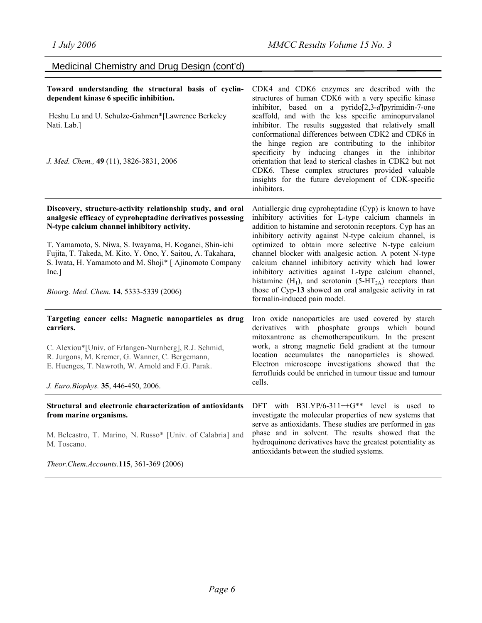Medicinal Chemistry and Drug Design (cont'd)

| Toward understanding the structural basis of cyclin-<br>dependent kinase 6 specific inhibition.<br>Heshu Lu and U. Schulze-Gahmen*[Lawrence Berkeley<br>Nati. Lab.]<br>J. Med. Chem., 49 (11), 3826-3831, 2006                                                                                                                                                                                                    | CDK4 and CDK6 enzymes are described with the<br>structures of human CDK6 with a very specific kinase<br>inhibitor, based on a pyrido $[2,3-d]$ pyrimidin-7-one<br>scaffold, and with the less specific aminopurvalanol<br>inhibitor. The results suggested that relatively small<br>conformational differences between CDK2 and CDK6 in<br>the hinge region are contributing to the inhibitor<br>specificity by inducing changes in the inhibitor<br>orientation that lead to sterical clashes in CDK2 but not<br>CDK6. These complex structures provided valuable<br>insights for the future development of CDK-specific<br>inhibitors. |
|-------------------------------------------------------------------------------------------------------------------------------------------------------------------------------------------------------------------------------------------------------------------------------------------------------------------------------------------------------------------------------------------------------------------|------------------------------------------------------------------------------------------------------------------------------------------------------------------------------------------------------------------------------------------------------------------------------------------------------------------------------------------------------------------------------------------------------------------------------------------------------------------------------------------------------------------------------------------------------------------------------------------------------------------------------------------|
| Discovery, structure-activity relationship study, and oral<br>analgesic efficacy of cyproheptadine derivatives possessing<br>N-type calcium channel inhibitory activity.<br>T. Yamamoto, S. Niwa, S. Iwayama, H. Koganei, Shin-ichi<br>Fujita, T. Takeda, M. Kito, Y. Ono, Y. Saitou, A. Takahara,<br>S. Iwata, H. Yamamoto and M. Shoji* [ Ajinomoto Company<br>Inc.]<br>Bioorg. Med. Chem. 14, 5333-5339 (2006) | Antiallergic drug cyproheptadine (Cyp) is known to have<br>inhibitory activities for L-type calcium channels in<br>addition to histamine and serotonin receptors. Cyp has an<br>inhibitory activity against N-type calcium channel, is<br>optimized to obtain more selective N-type calcium<br>channel blocker with analgesic action. A potent N-type<br>calcium channel inhibitory activity which had lower<br>inhibitory activities against L-type calcium channel,<br>histamine $(H_1)$ , and serotonin $(5-HT_{2A})$ receptors than<br>those of Cyp-13 showed an oral analgesic activity in rat<br>formalin-induced pain model.      |
| Targeting cancer cells: Magnetic nanoparticles as drug<br>carriers.<br>C. Alexiou*[Univ. of Erlangen-Nurnberg], R.J. Schmid,<br>R. Jurgons, M. Kremer, G. Wanner, C. Bergemann,<br>E. Huenges, T. Nawroth, W. Arnold and F.G. Parak.<br>J. Euro.Biophys. 35, 446-450, 2006.                                                                                                                                       | Iron oxide nanoparticles are used covered by starch<br>derivatives with phosphate groups which bound<br>mitoxantrone as chemotherapeutikum. In the present<br>work, a strong magnetic field gradient at the tumour<br>location accumulates the nanoparticles is showed.<br>Electron microscope investigations showed that the<br>ferrofluids could be enriched in tumour tissue and tumour<br>cells.                                                                                                                                                                                                                                     |
| Structural and electronic characterization of antioxidants<br>from marine organisms.<br>M. Belcastro, T. Marino, N. Russo* [Univ. of Calabria] and<br>M. Toscano.<br>Theor.Chem.Accounts.115, 361-369 (2006)                                                                                                                                                                                                      | DFT with $B3LYP/6-311++G**$ level is used to<br>investigate the molecular properties of new systems that<br>serve as antioxidants. These studies are performed in gas<br>phase and in solvent. The results showed that the<br>hydroquinone derivatives have the greatest potentiality as<br>antioxidants between the studied systems.                                                                                                                                                                                                                                                                                                    |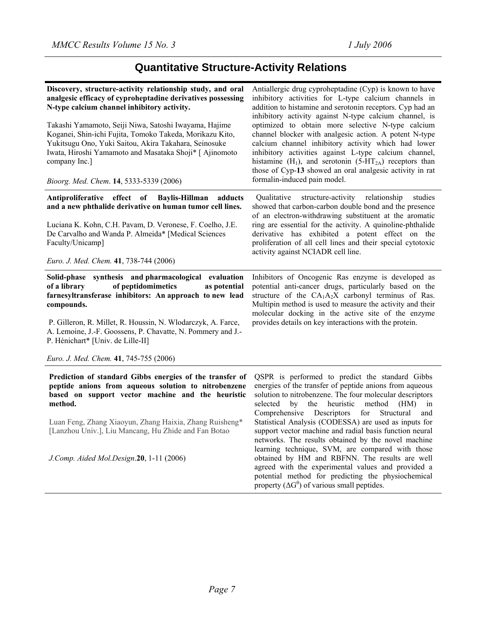# **Quantitative Structure-Activity Relations**

| Discovery, structure-activity relationship study, and oral<br>analgesic efficacy of cyproheptadine derivatives possessing<br>N-type calcium channel inhibitory activity.                                                                                             | Antiallergic drug cyproheptadine (Cyp) is known to have<br>inhibitory activities for L-type calcium channels in<br>addition to histamine and serotonin receptors. Cyp had an<br>inhibitory activity against N-type calcium channel, is                                                                                                                                     |
|----------------------------------------------------------------------------------------------------------------------------------------------------------------------------------------------------------------------------------------------------------------------|----------------------------------------------------------------------------------------------------------------------------------------------------------------------------------------------------------------------------------------------------------------------------------------------------------------------------------------------------------------------------|
| Takashi Yamamoto, Seiji Niwa, Satoshi Iwayama, Hajime<br>Koganei, Shin-ichi Fujita, Tomoko Takeda, Morikazu Kito,<br>Yukitsugu Ono, Yuki Saitou, Akira Takahara, Seinosuke<br>Iwata, Hiroshi Yamamoto and Masataka Shoji* [ Ajinomoto<br>company Inc.]               | optimized to obtain more selective N-type calcium<br>channel blocker with analgesic action. A potent N-type<br>calcium channel inhibitory activity which had lower<br>inhibitory activities against L-type calcium channel,<br>histamine (H <sub>1</sub> ), and serotonin (5-HT <sub>2A</sub> ) receptors than<br>those of Cyp-13 showed an oral analgesic activity in rat |
| Bioorg. Med. Chem. 14, 5333-5339 (2006)                                                                                                                                                                                                                              | formalin-induced pain model.                                                                                                                                                                                                                                                                                                                                               |
| Antiproliferative effect of<br><b>Baylis-Hillman</b><br>adducts<br>and a new phthalide derivative on human tumor cell lines.<br>Luciana K. Kohn, C.H. Pavam, D. Veronese, F. Coelho, J.E.<br>De Carvalho and Wanda P. Almeida* [Medical Sciences<br>Faculty/Unicamp] | Qualitative<br>structure-activity<br>relationship<br>studies<br>showed that carbon-carbon double bond and the presence<br>of an electron-withdrawing substituent at the aromatic<br>ring are essential for the activity. A quinoline-phthalide<br>derivative has exhibited a potent effect on the<br>proliferation of all cell lines and their special cytotoxic           |
| Euro. J. Med. Chem. 41, 738-744 (2006)                                                                                                                                                                                                                               | activity against NCIADR cell line.                                                                                                                                                                                                                                                                                                                                         |
| Solid-phase synthesis and pharmacological evaluation<br>of peptidomimetics<br>of a library<br>as potential<br>farnesyltransferase inhibitors: An approach to new lead<br>compounds.                                                                                  | Inhibitors of Oncogenic Ras enzyme is developed as<br>potential anti-cancer drugs, particularly based on the<br>structure of the $CA1A2X$ carbonyl terminus of Ras.<br>Multipin method is used to measure the activity and their<br>molecular docking in the active site of the enzyme                                                                                     |
| P. Gilleron, R. Millet, R. Houssin, N. Wlodarczyk, A. Farce,<br>A. Lemoine, J.-F. Goossens, P. Chavatte, N. Pommery and J.-<br>P. Hénichart* [Univ. de Lille-II]                                                                                                     | provides details on key interactions with the protein.                                                                                                                                                                                                                                                                                                                     |
| Euro. J. Med. Chem. 41, 745-755 (2006)                                                                                                                                                                                                                               |                                                                                                                                                                                                                                                                                                                                                                            |
| Prediction of standard Gibbs energies of the transfer of<br>peptide anions from aqueous solution to nitrobenzene<br>based on support vector machine and the heuristic<br>method.                                                                                     | QSPR is performed to predict the standard Gibbs<br>energies of the transfer of peptide anions from aqueous<br>solution to nitrobenzene. The four molecular descriptors<br>selected<br>by<br>the<br>heuristic<br>method<br>(HM)<br>in<br>Comprehensive Descriptors<br>for<br>Structural<br>and                                                                              |
| Luan Feng, Zhang Xiaoyun, Zhang Haixia, Zhang Ruisheng*<br>[Lanzhou Univ.], Liu Mancang, Hu Zhide and Fan Botao                                                                                                                                                      | Statistical Analysis (CODESSA) are used as inputs for<br>support vector machine and radial basis function neural<br>networks. The results obtained by the novel machine                                                                                                                                                                                                    |
| J.Comp. Aided Mol.Design.20, 1-11 (2006)                                                                                                                                                                                                                             | learning technique, SVM, are compared with those<br>obtained by HM and RBFNN. The results are well<br>agreed with the experimental values and provided a<br>potential method for predicting the physiochemical<br>property $(\Delta G^{\theta})$ of various small peptides.                                                                                                |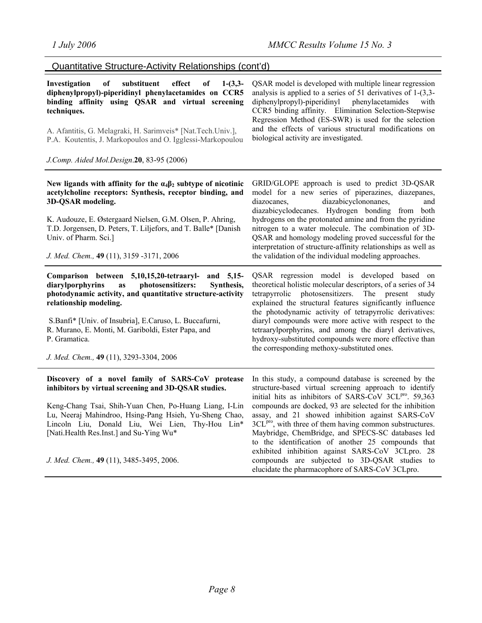Quantitative Structure-Activity Relationships (cont'd)

| $1-(3,3-$<br>Investigation<br>of<br>substituent<br>effect<br>of<br>diphenylpropyl)-piperidinyl phenylacetamides on CCR5<br>binding affinity using QSAR and virtual screening<br>techniques.<br>A. Afantitis, G. Melagraki, H. Sarimveis* [Nat.Tech.Univ.],<br>P.A. Koutentis, J. Markopoulos and O. Igglessi-Markopoulou | QSAR model is developed with multiple linear regression<br>analysis is applied to a series of 51 derivatives of $1-(3,3-$<br>diphenylpropyl)-piperidinyl<br>phenylacetamides<br>with<br>CCR5 binding affinity. Elimination Selection-Stepwise<br>Regression Method (ES-SWR) is used for the selection<br>and the effects of various structural modifications on<br>biological activity are investigated. |
|--------------------------------------------------------------------------------------------------------------------------------------------------------------------------------------------------------------------------------------------------------------------------------------------------------------------------|----------------------------------------------------------------------------------------------------------------------------------------------------------------------------------------------------------------------------------------------------------------------------------------------------------------------------------------------------------------------------------------------------------|
| J.Comp. Aided Mol.Design.20, 83-95 (2006)                                                                                                                                                                                                                                                                                |                                                                                                                                                                                                                                                                                                                                                                                                          |
| New ligands with affinity for the $\alpha_4\beta_2$ subtype of nicotinic<br>acetylcholine receptors: Synthesis, receptor binding, and<br>3D-QSAR modeling.                                                                                                                                                               | GRID/GLOPE approach is used to predict 3D-QSAR<br>model for a new series of piperazines, diazepanes,<br>diazabicyclononanes,<br>diazocanes,<br>and<br>diazabicyclodecanes. Hydrogen bonding from both                                                                                                                                                                                                    |
| K. Audouze, E. Østergaard Nielsen, G.M. Olsen, P. Ahring,<br>T.D. Jorgensen, D. Peters, T. Liljefors, and T. Balle* [Danish]<br>Univ. of Pharm. Sci.]                                                                                                                                                                    | hydrogens on the protonated amine and from the pyridine<br>nitrogen to a water molecule. The combination of 3D-<br>QSAR and homology modeling proved successful for the<br>interpretation of structure-affinity relationships as well as                                                                                                                                                                 |
| J. Med. Chem., 49 (11), 3159 -3171, 2006                                                                                                                                                                                                                                                                                 | the validation of the individual modeling approaches.                                                                                                                                                                                                                                                                                                                                                    |
| Comparison between 5,10,15,20-tetraaryl-<br>and 5,15-<br>photosensitizers:<br>diarylporphyrins<br>as<br>Synthesis,<br>photodynamic activity, and quantitative structure-activity<br>relationship modeling.                                                                                                               | QSAR regression model is developed based on<br>theoretical holistic molecular descriptors, of a series of 34<br>photosensitizers. The present study<br>tetrapyrrolic<br>explained the structural features significantly influence<br>the photodynamic activity of tetrapyrrolic derivatives:                                                                                                             |
| S.Banfi* [Univ. of Insubria], E.Caruso, L. Buccafurni,<br>R. Murano, E. Monti, M. Gariboldi, Ester Papa, and<br>P. Gramatica.                                                                                                                                                                                            | diaryl compounds were more active with respect to the<br>tetraarylporphyrins, and among the diaryl derivatives,<br>hydroxy-substituted compounds were more effective than<br>the corresponding methoxy-substituted ones.                                                                                                                                                                                 |
| J. Med. Chem., 49 (11), 3293-3304, 2006                                                                                                                                                                                                                                                                                  |                                                                                                                                                                                                                                                                                                                                                                                                          |
| Discovery of a novel family of SARS-CoV protease<br>inhibitors by virtual screening and 3D-QSAR studies.                                                                                                                                                                                                                 | In this study, a compound database is screened by the<br>structure-based virtual screening approach to identify<br>initial hits as inhibitors of SARS-CoV 3CLPro. 59,363                                                                                                                                                                                                                                 |
| Keng-Chang Tsai, Shih-Yuan Chen, Po-Huang Liang, I-Lin<br>Lu, Neeraj Mahindroo, Hsing-Pang Hsieh, Yu-Sheng Chao,<br>Lincoln Liu, Donald Liu, Wei Lien, Thy-Hou Lin*<br>[Nati.Health Res.Inst.] and Su-Ying Wu*                                                                                                           | compounds are docked, 93 are selected for the inhibition<br>assay, and 21 showed inhibition against SARS-CoV<br>3CL <sup>pro</sup> , with three of them having common substructures.<br>Maybridge, ChemBridge, and SPECS-SC databases led<br>to the identification of another 25 compounds that                                                                                                          |
| J. Med. Chem., 49 (11), 3485-3495, 2006.                                                                                                                                                                                                                                                                                 | exhibited inhibition against SARS-CoV 3CLpro. 28<br>compounds are subjected to 3D-QSAR studies to<br>elucidate the pharmacophore of SARS-CoV 3CLpro.                                                                                                                                                                                                                                                     |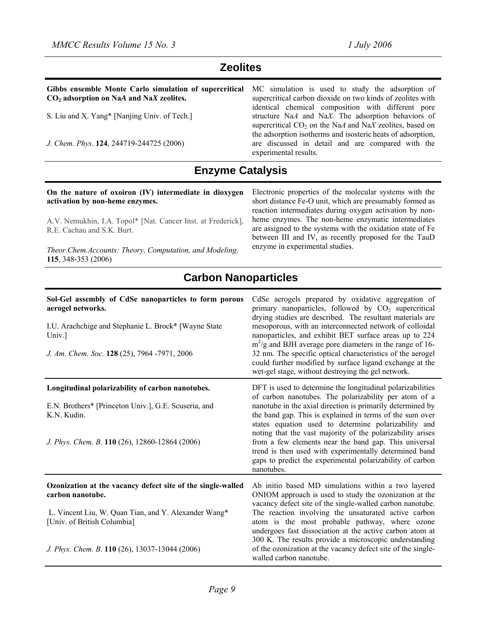## **Zeolites**

| Gibbs ensemble Monte Carlo simulation of supercritical<br>$CO2$ adsorption on NaA and NaX zeolites. | MC simulation is used to study the adsorption of<br>supercritical carbon dioxide on two kinds of zeolites with<br>identical chemical composition with different pore |
|-----------------------------------------------------------------------------------------------------|----------------------------------------------------------------------------------------------------------------------------------------------------------------------|
| S. Liu and X. Yang* [Nanjing Univ. of Tech.]                                                        | structure NaA and NaX. The adsorption behaviors of<br>supercritical $CO2$ on the NaA and NaX zeolites, based on                                                      |
| J. Chem. Phys. 124, 244719-244725 (2006)                                                            | the adsorption isotherms and isosteric heats of adsorption,<br>are discussed in detail and are compared with the<br>experimental results.                            |
|                                                                                                     |                                                                                                                                                                      |

## **Enzyme Catalysis**

#### **On the nature of oxoiron (IV) intermediate in dioxygen activation by non-heme enzymes.**

A.V. Nemukhin, I.A. Topol\* [Nat. Cancer Inst. at Frederick], R.E. Cachau and S.K. Burt.

*Theor.Chem.Accounts: Theory, Computation, and Modeling*. **115**, 348-353 (2006)

Electronic properties of the molecular systems with the short distance Fe-O unit, which are presumably formed as reaction intermediates during oxygen activation by nonheme enzymes. The non-heme enzymatic intermediates are assigned to the systems with the oxidation state of Fe between III and IV, as recently proposed for the TauD enzyme in experimental studies.

## **Carbon Nanoparticles**

| Sol-Gel assembly of CdSe nanoparticles to form porous<br>aerogel networks.<br>I.U. Arachchige and Stephanie L. Brock* [Wayne State<br>Univ.]<br>J. Am. Chem. Soc. 128 (25), 7964 -7971, 2006 | CdSe aerogels prepared by oxidative aggregation of<br>primary nanoparticles, followed by $CO2$ supercritical<br>drying studies are described. The resultant materials are<br>mesoporous, with an interconnected network of colloidal<br>nanoparticles, and exhibit BET surface areas up to 224<br>$m^2/g$ and BJH average pore diameters in the range of 16-<br>32 nm. The specific optical characteristics of the aerogel<br>could further modified by surface ligand exchange at the<br>wet-gel stage, without destroying the gel network. |
|----------------------------------------------------------------------------------------------------------------------------------------------------------------------------------------------|----------------------------------------------------------------------------------------------------------------------------------------------------------------------------------------------------------------------------------------------------------------------------------------------------------------------------------------------------------------------------------------------------------------------------------------------------------------------------------------------------------------------------------------------|
| Longitudinal polarizability of carbon nanotubes.<br>E.N. Brothers* [Princeton Univ.], G.E. Scuseria, and<br>K.N. Kudin.                                                                      | DFT is used to determine the longitudinal polarizabilities<br>of carbon nanotubes. The polarizability per atom of a<br>nanotube in the axial direction is primarily determined by<br>the band gap. This is explained in terms of the sum over<br>states equation used to determine polarizability and                                                                                                                                                                                                                                        |
| J. Phys. Chem. B. 110 (26), 12860-12864 (2006)                                                                                                                                               | noting that the vast majority of the polarizability arises<br>from a few elements near the band gap. This universal<br>trend is then used with experimentally determined band<br>gaps to predict the experimental polarizability of carbon<br>nanotubes.                                                                                                                                                                                                                                                                                     |
| Ozonization at the vacancy defect site of the single-walled<br>carbon nanotube.                                                                                                              | Ab initio based MD simulations within a two layered<br>ONIOM approach is used to study the ozonization at the<br>vacancy defect site of the single-walled carbon nanotube.                                                                                                                                                                                                                                                                                                                                                                   |
| L. Vincent Liu, W. Quan Tian, and Y. Alexander Wang*<br>[Univ. of British Columbia]                                                                                                          | The reaction involving the unsaturated active carbon<br>atom is the most probable pathway, where ozone<br>undergoes fast dissociation at the active carbon atom at<br>300 K. The results provide a microscopic understanding                                                                                                                                                                                                                                                                                                                 |
| J. Phys. Chem. B. 110 (26), 13037-13044 (2006)                                                                                                                                               | of the ozonization at the vacancy defect site of the single-<br>walled carbon nanotube.                                                                                                                                                                                                                                                                                                                                                                                                                                                      |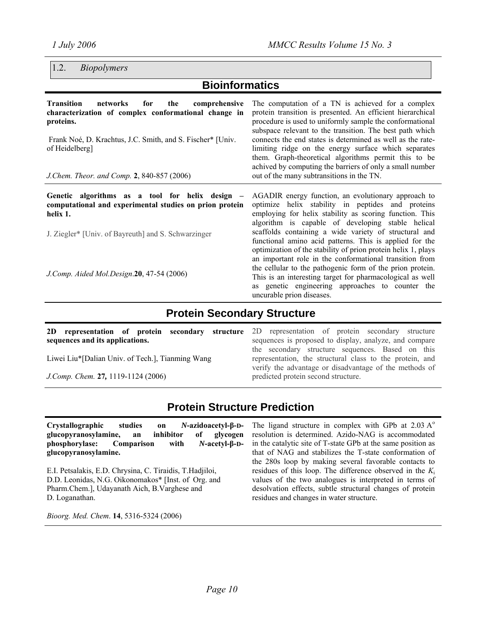## 1.2. *Biopolymers*

## **Bioinformatics**

| <b>Transition</b><br>networks<br>comprehensive<br>for<br>the<br>characterization of complex conformational change in<br>proteins.<br>Frank Noé, D. Krachtus, J.C. Smith, and S. Fischer* [Univ.]<br>of Heidelberg]<br>J.Chem. Theor. and Comp. 2, 840-857 (2006) | The computation of a TN is achieved for a complex<br>protein transition is presented. An efficient hierarchical<br>procedure is used to uniformly sample the conformational<br>subspace relevant to the transition. The best path which<br>connects the end states is determined as well as the rate-<br>limiting ridge on the energy surface which separates<br>them. Graph-theoretical algorithms permit this to be<br>achived by computing the barriers of only a small number<br>out of the many subtransitions in the TN. |
|------------------------------------------------------------------------------------------------------------------------------------------------------------------------------------------------------------------------------------------------------------------|--------------------------------------------------------------------------------------------------------------------------------------------------------------------------------------------------------------------------------------------------------------------------------------------------------------------------------------------------------------------------------------------------------------------------------------------------------------------------------------------------------------------------------|
| Genetic algorithms as a tool for helix design –<br>computational and experimental studies on prion protein<br>helix 1.<br>J. Ziegler* [Univ. of Bayreuth] and S. Schwarzinger                                                                                    | AGADIR energy function, an evolutionary approach to<br>optimize helix stability in peptides and proteins<br>employing for helix stability as scoring function. This<br>algorithm is capable of developing stable helical<br>scaffolds containing a wide variety of structural and<br>functional amino acid patterns. This is applied for the<br>optimization of the stability of prion protein helix 1, plays<br>an important role in the conformational transition from                                                       |

*J.Comp. Aided Mol.Design*.**20**, 47-54 (2006)

# the cellular to the pathogenic form of the prion protein. This is an interesting target for pharmacological as well as genetic engineering approaches to counter the uncurable prion diseases.

## **Protein Secondary Structure**

**2D representation of protein secondary structure sequences and its applications.** 

Liwei Liu\*[Dalian Univ. of Tech.], Tianming Wang

*J.Comp. Chem.* **27***,* 1119-1124 (2006)

2D representation of protein secondary structure sequences is proposed to display, analyze, and compare the secondary structure sequences. Based on this representation, the structural class to the protein, and verify the advantage or disadvantage of the methods of predicted protein second structure.

## **Protein Structure Prediction**

**Crystallographic studies on** *N***-azidoacetyl-β-Dglucopyranosylamine, an inhibitor of glycogen phosphorylase: Comparison with** *N***-acetyl-β-Dglucopyranosylamine.** 

E.I. Petsalakis, E.D. Chrysina, C. Tiraidis, T.Hadjiloi, D.D. Leonidas, N.G. Oikonomakos\* [Inst. of Org. and Pharm.Chem.], Udayanath Aich, B.Varghese and D. Loganathan.

*Bioorg. Med. Chem*. **14**, 5316-5324 (2006)

The ligand structure in complex with GPb at  $2.03 \text{ A}^{\circ}$ resolution is determined. Azido-NAG is accommodated in the catalytic site of T-state GPb at the same position as that of NAG and stabilizes the T-state conformation of the 280s loop by making several favorable contacts to residues of this loop. The difference observed in the *K*<sup>i</sup> values of the two analogues is interpreted in terms of desolvation effects, subtle structural changes of protein residues and changes in water structure.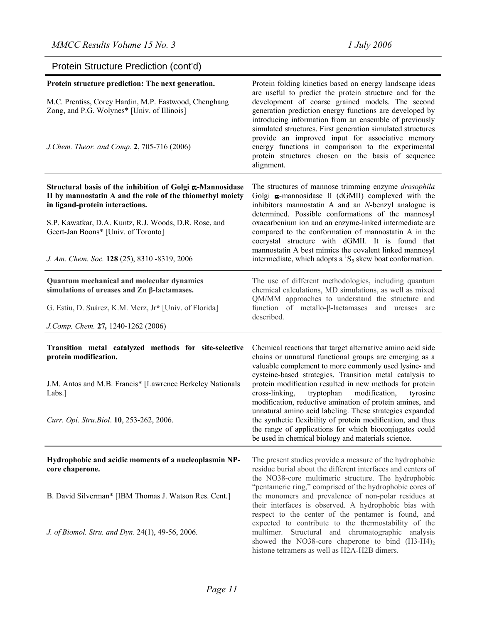| Protein Structure Prediction (cont'd)                                                                                                                     |                                                                                                                                                                                                                                                                                                                                                     |
|-----------------------------------------------------------------------------------------------------------------------------------------------------------|-----------------------------------------------------------------------------------------------------------------------------------------------------------------------------------------------------------------------------------------------------------------------------------------------------------------------------------------------------|
| Protein structure prediction: The next generation.                                                                                                        | Protein folding kinetics based on energy landscape ideas                                                                                                                                                                                                                                                                                            |
| M.C. Prentiss, Corey Hardin, M.P. Eastwood, Chenghang<br>Zong, and P.G. Wolynes* [Univ. of Illinois]                                                      | are useful to predict the protein structure and for the<br>development of coarse grained models. The second<br>generation prediction energy functions are developed by<br>introducing information from an ensemble of previously<br>simulated structures. First generation simulated structures<br>provide an improved input for associative memory |
| J.Chem. Theor. and Comp. 2, 705-716 (2006)                                                                                                                | energy functions in comparison to the experimental<br>protein structures chosen on the basis of sequence<br>alignment.                                                                                                                                                                                                                              |
| Structural basis of the inhibition of Golgi x-Mannosidase<br>II by mannostatin A and the role of the thiomethyl moiety<br>in ligand-protein interactions. | The structures of mannose trimming enzyme drosophila<br>Golgi a-mannosidase II (dGMII) complexed with the<br>inhibitors mannostatin A and an $N$ -benzyl analogue is<br>determined. Possible conformations of the mannosyl                                                                                                                          |
| S.P. Kawatkar, D.A. Kuntz, R.J. Woods, D.R. Rose, and<br>Geert-Jan Boons* [Univ. of Toronto]                                                              | oxacarbenium ion and an enzyme-linked intermediate are<br>compared to the conformation of mannostatin A in the<br>cocrystal structure with dGMII. It is found that<br>mannostatin A best mimics the covalent linked mannosyl                                                                                                                        |
| J. Am. Chem. Soc. 128 (25), 8310 -8319, 2006                                                                                                              | intermediate, which adopts a ${}^{1}S_{5}$ skew boat conformation.                                                                                                                                                                                                                                                                                  |
| Quantum mechanical and molecular dynamics<br>simulations of ureases and Zn β-lactamases.                                                                  | The use of different methodologies, including quantum<br>chemical calculations, MD simulations, as well as mixed<br>QM/MM approaches to understand the structure and                                                                                                                                                                                |
| G. Estiu, D. Suárez, K.M. Merz, Jr* [Univ. of Florida]                                                                                                    | function of metallo-β-lactamases and ureases<br>are<br>described.                                                                                                                                                                                                                                                                                   |
| J.Comp. Chem. 27, 1240-1262 (2006)                                                                                                                        |                                                                                                                                                                                                                                                                                                                                                     |
| Transition metal catalyzed methods for site-selective<br>protein modification.                                                                            | Chemical reactions that target alternative amino acid side<br>chains or unnatural functional groups are emerging as a<br>valuable complement to more commonly used lysine- and                                                                                                                                                                      |
| J.M. Antos and M.B. Francis* [Lawrence Berkeley Nationals<br>Labs.]                                                                                       | cysteine-based strategies. Transition metal catalysis to<br>protein modification resulted in new methods for protein<br>cross-linking,<br>tryptophan<br>modification,<br>tyrosine<br>modification, reductive amination of protein amines, and                                                                                                       |
| Curr. Opi. Stru. Biol. 10, 253-262, 2006.                                                                                                                 | unnatural amino acid labeling. These strategies expanded<br>the synthetic flexibility of protein modification, and thus<br>the range of applications for which bioconjugates could<br>be used in chemical biology and materials science.                                                                                                            |
| Hydrophobic and acidic moments of a nucleoplasmin NP-<br>core chaperone.                                                                                  | The present studies provide a measure of the hydrophobic<br>residue burial about the different interfaces and centers of<br>the NO38-core multimeric structure. The hydrophobic                                                                                                                                                                     |
| B. David Silverman* [IBM Thomas J. Watson Res. Cent.]                                                                                                     | "pentameric ring," comprised of the hydrophobic cores of<br>the monomers and prevalence of non-polar residues at<br>their interfaces is observed. A hydrophobic bias with<br>respect to the center of the pentamer is found, and                                                                                                                    |
| J. of Biomol. Stru. and Dyn. 24(1), 49-56, 2006.                                                                                                          | expected to contribute to the thermostability of the<br>multimer. Structural and chromatographic analysis<br>showed the NO38-core chaperone to bind $(H3-H4)_2$<br>histone tetramers as well as H2A-H2B dimers.                                                                                                                                     |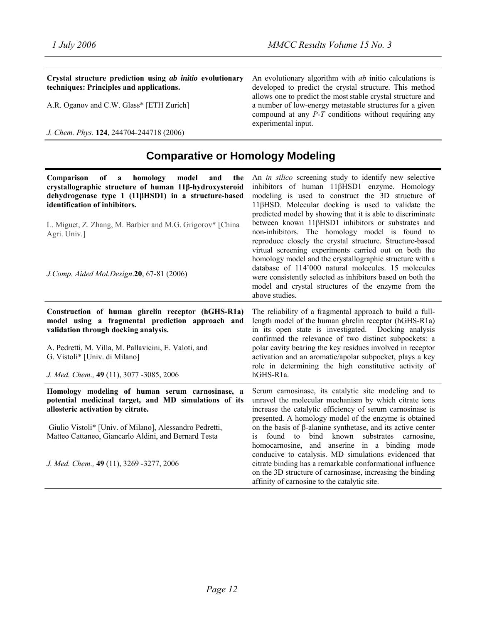conducive to catalysis. MD simulations evidenced that citrate binding has a remarkable conformational influence on the 3D structure of carnosinase, increasing the binding

affinity of carnosine to the catalytic site.

| Crystal structure prediction using ab initio evolutionary<br>techniques: Principles and applications.<br>A.R. Oganov and C.W. Glass* [ETH Zurich]<br>J. Chem. Phys. 124, 244704-244718 (2006)                                                                                                                                                   | An evolutionary algorithm with <i>ab</i> initio calculations is<br>developed to predict the crystal structure. This method<br>allows one to predict the most stable crystal structure and<br>a number of low-energy metastable structures for a given<br>compound at any $P$ -T conditions without requiring any<br>experimental input.                                                                                                                                                                                                                                                                                                                                                                                                                                      |
|-------------------------------------------------------------------------------------------------------------------------------------------------------------------------------------------------------------------------------------------------------------------------------------------------------------------------------------------------|------------------------------------------------------------------------------------------------------------------------------------------------------------------------------------------------------------------------------------------------------------------------------------------------------------------------------------------------------------------------------------------------------------------------------------------------------------------------------------------------------------------------------------------------------------------------------------------------------------------------------------------------------------------------------------------------------------------------------------------------------------------------------|
| <b>Comparative or Homology Modeling</b>                                                                                                                                                                                                                                                                                                         |                                                                                                                                                                                                                                                                                                                                                                                                                                                                                                                                                                                                                                                                                                                                                                              |
| homology<br>Comparison<br>of<br>model<br>and<br>$\mathbf{a}$<br>the<br>crystallographic structure of human 11β-hydroxysteroid<br>dehydrogenase type 1 (11βHSD1) in a structure-based<br>identification of inhibitors.<br>L. Miguet, Z. Zhang, M. Barbier and M.G. Grigorov* [China<br>Agri. Univ.]<br>J.Comp. Aided Mol.Design.20, 67-81 (2006) | An <i>in silico</i> screening study to identify new selective<br>inhibitors of human 11βHSD1 enzyme. Homology<br>modeling is used to construct the 3D structure of<br>11βHSD. Molecular docking is used to validate the<br>predicted model by showing that it is able to discriminate<br>between known 11βHSD1 inhibitors or substrates and<br>non-inhibitors. The homology model is found to<br>reproduce closely the crystal structure. Structure-based<br>virtual screening experiments carried out on both the<br>homology model and the crystallographic structure with a<br>database of 114'000 natural molecules. 15 molecules<br>were consistently selected as inhibitors based on both the<br>model and crystal structures of the enzyme from the<br>above studies. |
| Construction of human ghrelin receptor (hGHS-R1a)<br>model using a fragmental prediction approach and<br>validation through docking analysis.<br>A. Pedretti, M. Villa, M. Pallavicini, E. Valoti, and<br>G. Vistoli* [Univ. di Milano]<br>J. Med. Chem., 49 (11), 3077 -3085, 2006                                                             | The reliability of a fragmental approach to build a full-<br>length model of the human ghrelin receptor (hGHS-R1a)<br>in its open state is investigated. Docking analysis<br>confirmed the relevance of two distinct subpockets: a<br>polar cavity bearing the key residues involved in receptor<br>activation and an aromatic/apolar subpocket, plays a key<br>role in determining the high constitutive activity of<br>hGHS-R1a.                                                                                                                                                                                                                                                                                                                                           |
| Homology modeling of human serum carnosinase, a<br>potential medicinal target, and MD simulations of its<br>allosteric activation by citrate.<br>Giulio Vistoli* [Univ. of Milano], Alessandro Pedretti,<br>Matteo Cattaneo, Giancarlo Aldini, and Bernard Testa                                                                                | Serum carnosinase, its catalytic site modeling and to<br>unravel the molecular mechanism by which citrate ions<br>increase the catalytic efficiency of serum carnosinase is<br>presented. A homology model of the enzyme is obtained<br>on the basis of $\beta$ -alanine synthetase, and its active center<br>found<br>bind<br>known<br>substrates<br>is<br>to<br>carnosine,<br>homocarnosine, and anserine in a binding mode                                                                                                                                                                                                                                                                                                                                                |

*J. Med. Chem.,* **49** (11), 3269 -3277, 2006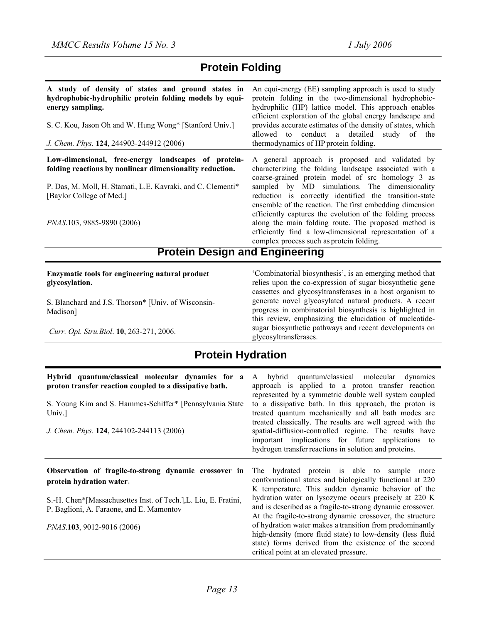## **Protein Folding**

| A study of density of states and ground states in<br>hydrophobic-hydrophilic protein folding models by equi-<br>energy sampling.<br>S. C. Kou, Jason Oh and W. Hung Wong* [Stanford Univ.]<br>J. Chem. Phys. 124, 244903-244912 (2006)   | An equi-energy (EE) sampling approach is used to study<br>protein folding in the two-dimensional hydrophobic-<br>hydrophilic (HP) lattice model. This approach enables<br>efficient exploration of the global energy landscape and<br>provides accurate estimates of the density of states, which<br>allowed to conduct a detailed study of the<br>thermodynamics of HP protein folding.                                                                                                                                                                        |
|------------------------------------------------------------------------------------------------------------------------------------------------------------------------------------------------------------------------------------------|-----------------------------------------------------------------------------------------------------------------------------------------------------------------------------------------------------------------------------------------------------------------------------------------------------------------------------------------------------------------------------------------------------------------------------------------------------------------------------------------------------------------------------------------------------------------|
| Low-dimensional, free-energy landscapes of protein-<br>folding reactions by nonlinear dimensionality reduction.<br>P. Das, M. Moll, H. Stamati, L.E. Kavraki, and C. Clementi*<br>[Baylor College of Med.]<br>PNAS.103, 9885-9890 (2006) | A general approach is proposed and validated by<br>characterizing the folding landscape associated with a<br>coarse-grained protein model of src homology 3 as<br>sampled by MD simulations. The dimensionality<br>reduction is correctly identified the transition-state<br>ensemble of the reaction. The first embedding dimension<br>efficiently captures the evolution of the folding process<br>along the main folding route. The proposed method is<br>efficiently find a low-dimensional representation of a<br>complex process such as protein folding. |
| <b>Protein Design and Engineering</b>                                                                                                                                                                                                    |                                                                                                                                                                                                                                                                                                                                                                                                                                                                                                                                                                 |
| Enzymatic tools for engineering natural product<br>glycosylation.                                                                                                                                                                        | 'Combinatorial biosynthesis', is an emerging method that<br>relies upon the co-expression of sugar biosynthetic gene                                                                                                                                                                                                                                                                                                                                                                                                                                            |

S. Blanchard and J.S. Thorson\* [Univ. of Wisconsin-Madison]

*Curr. Opi. Stru.Biol*. **10**, 263-271, 2006.

relies upon the co-expression of sugar biosynthetic gene cassettes and glycosyltransferases in a host organism to generate novel glycosylated natural products. A recent progress in combinatorial biosynthesis is highlighted in this review, emphasizing the elucidation of nucleotidesugar biosynthetic pathways and recent developments on glycosyltransferases.

## **Protein Hydration**

| Hybrid quantum/classical molecular dynamics for a<br>proton transfer reaction coupled to a dissipative bath.<br>S. Young Kim and S. Hammes-Schiffer* [Pennsylvania State]<br>Univ.]<br>J. Chem. Phys. 124, 244102-244113 (2006) | hybrid quantum/classical molecular dynamics<br>A<br>approach is applied to a proton transfer reaction<br>represented by a symmetric double well system coupled<br>to a dissipative bath. In this approach, the proton is<br>treated quantum mechanically and all bath modes are<br>treated classically. The results are well agreed with the<br>spatial-diffusion-controlled regime. The results have<br>important implications for future applications to<br>hydrogen transfer reactions in solution and proteins. |
|---------------------------------------------------------------------------------------------------------------------------------------------------------------------------------------------------------------------------------|---------------------------------------------------------------------------------------------------------------------------------------------------------------------------------------------------------------------------------------------------------------------------------------------------------------------------------------------------------------------------------------------------------------------------------------------------------------------------------------------------------------------|
| Observation of fragile-to-strong dynamic crossover in<br>protein hydration water.                                                                                                                                               | The hydrated protein is able to sample more<br>conformational states and biologically functional at 220<br>K temperature. This sudden dynamic behavior of the<br>hydration water on lysozyme occurs precisely at 220 K                                                                                                                                                                                                                                                                                              |
| S.-H. Chen*[Massachusettes Inst. of Tech.], L. Liu, E. Fratini,<br>P. Baglioni, A. Faraone, and E. Mamontov                                                                                                                     | and is described as a fragile-to-strong dynamic crossover.<br>At the fragile-to-strong dynamic crossover, the structure                                                                                                                                                                                                                                                                                                                                                                                             |
| PNAS.103, 9012-9016 (2006)                                                                                                                                                                                                      | of hydration water makes a transition from predominantly<br>high-density (more fluid state) to low-density (less fluid<br>state) forms derived from the existence of the second<br>critical point at an elevated pressure.                                                                                                                                                                                                                                                                                          |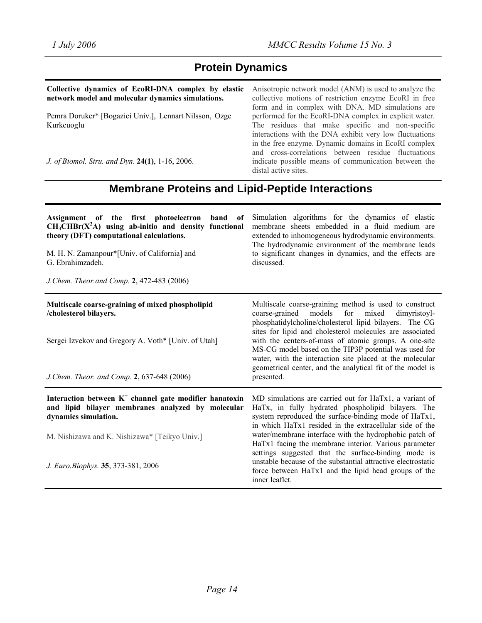# **Protein Dynamics**

| Collective dynamics of EcoRI-DNA complex by elastic<br>network model and molecular dynamics simulations. | Anisotropic network model (ANM) is used to analyze the<br>collective motions of restriction enzyme EcoRI in free<br>form and in complex with DNA. MD simulations are                        |
|----------------------------------------------------------------------------------------------------------|---------------------------------------------------------------------------------------------------------------------------------------------------------------------------------------------|
| Pemra Doruker* [Bogazici Univ.], Lennart Nilsson, Ozge<br>Kurkcuoglu                                     | performed for the EcoRI-DNA complex in explicit water.<br>The residues that make specific and non-specific<br>interactions with the DNA exhibit very low fluctuations                       |
| J. of Biomol. Stru. and Dyn. 24(1), 1-16, 2006.                                                          | in the free enzyme. Dynamic domains in EcoRI complex<br>and cross-correlations between residue fluctuations<br>indicate possible means of communication between the<br>distal active sites. |

# **Membrane Proteins and Lipid-Peptide Interactions**

| Assignment of the first photoelectron<br>band<br>of<br>$CH3CHBr(X2A)$ using ab-initio and density functional<br>theory (DFT) computational calculations.<br>M. H. N. Zamanpour*[Univ. of California] and<br>G. Ebrahimzadeh.<br>J.Chem. Theor.and Comp. 2, 472-483 (2006) | Simulation algorithms for the dynamics of elastic<br>membrane sheets embedded in a fluid medium are<br>extended to inhomogeneous hydrodynamic environments.<br>The hydrodynamic environment of the membrane leads<br>to significant changes in dynamics, and the effects are<br>discussed.                                                                                                                                                                                                                                                          |
|---------------------------------------------------------------------------------------------------------------------------------------------------------------------------------------------------------------------------------------------------------------------------|-----------------------------------------------------------------------------------------------------------------------------------------------------------------------------------------------------------------------------------------------------------------------------------------------------------------------------------------------------------------------------------------------------------------------------------------------------------------------------------------------------------------------------------------------------|
| Multiscale coarse-graining of mixed phospholipid<br>/cholesterol bilayers.<br>Sergei Izvekov and Gregory A. Voth* [Univ. of Utah]<br>J.Chem. Theor. and Comp. 2, 637-648 (2006)                                                                                           | Multiscale coarse-graining method is used to construct<br>models<br>for<br>mixed<br>dimyristoyl-<br>coarse-grained<br>phosphatidylcholine/cholesterol lipid bilayers. The CG<br>sites for lipid and cholesterol molecules are associated<br>with the centers-of-mass of atomic groups. A one-site<br>MS-CG model based on the TIP3P potential was used for<br>water, with the interaction site placed at the molecular<br>geometrical center, and the analytical fit of the model is<br>presented.                                                  |
| Interaction between $K^+$ channel gate modifier hanatoxin<br>and lipid bilayer membranes analyzed by molecular<br>dynamics simulation.<br>M. Nishizawa and K. Nishizawa* [Teikyo Univ.]<br>J. Euro. Biophys. 35, 373-381, 2006                                            | MD simulations are carried out for HaTx1, a variant of<br>HaTx, in fully hydrated phospholipid bilayers. The<br>system reproduced the surface-binding mode of HaTx1,<br>in which HaTx1 resided in the extracellular side of the<br>water/membrane interface with the hydrophobic patch of<br>HaTx1 facing the membrane interior. Various parameter<br>settings suggested that the surface-binding mode is<br>unstable because of the substantial attractive electrostatic<br>force between HaTx1 and the lipid head groups of the<br>inner leaflet. |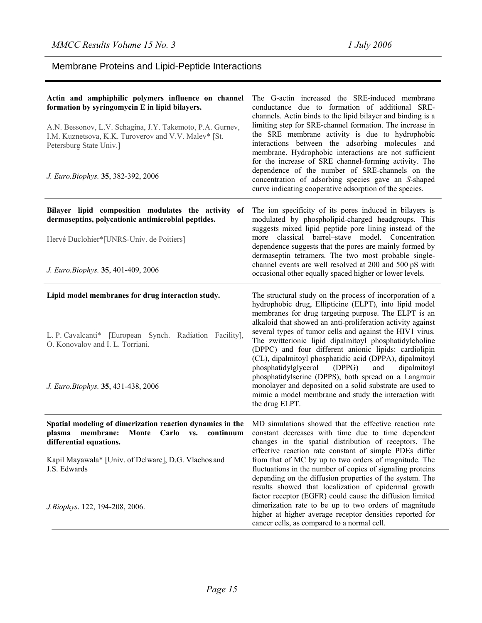# Membrane Proteins and Lipid-Peptide Interactions

| Actin and amphiphilic polymers influence on channel<br>formation by syringomycin E in lipid bilayers.<br>A.N. Bessonov, L.V. Schagina, J.Y. Takemoto, P.A. Gurnev,<br>I.M. Kuznetsova, K.K. Turoverov and V.V. Malev* [St.<br>Petersburg State Univ.]<br>J. Euro.Biophys. 35, 382-392, 2006 | The G-actin increased the SRE-induced membrane<br>conductance due to formation of additional SRE-<br>channels. Actin binds to the lipid bilayer and binding is a<br>limiting step for SRE-channel formation. The increase in<br>the SRE membrane activity is due to hydrophobic<br>interactions between the adsorbing molecules and<br>membrane. Hydrophobic interactions are not sufficient<br>for the increase of SRE channel-forming activity. The<br>dependence of the number of SRE-channels on the<br>concentration of adsorbing species gave an S-shaped<br>curve indicating cooperative adsorption of the species. |
|---------------------------------------------------------------------------------------------------------------------------------------------------------------------------------------------------------------------------------------------------------------------------------------------|----------------------------------------------------------------------------------------------------------------------------------------------------------------------------------------------------------------------------------------------------------------------------------------------------------------------------------------------------------------------------------------------------------------------------------------------------------------------------------------------------------------------------------------------------------------------------------------------------------------------------|
| Bilayer lipid composition modulates the activity of<br>dermaseptins, polycationic antimicrobial peptides.                                                                                                                                                                                   | The ion specificity of its pores induced in bilayers is<br>modulated by phospholipid-charged headgroups. This<br>suggests mixed lipid-peptide pore lining instead of the                                                                                                                                                                                                                                                                                                                                                                                                                                                   |
| Hervé Duclohier*[UNRS-Univ. de Poitiers]                                                                                                                                                                                                                                                    | more classical barrel-stave model. Concentration<br>dependence suggests that the pores are mainly formed by<br>dermaseptin tetramers. The two most probable single-                                                                                                                                                                                                                                                                                                                                                                                                                                                        |
| J. Euro.Biophys. 35, 401-409, 2006                                                                                                                                                                                                                                                          | channel events are well resolved at 200 and 500 pS with<br>occasional other equally spaced higher or lower levels.                                                                                                                                                                                                                                                                                                                                                                                                                                                                                                         |
| Lipid model membranes for drug interaction study.<br>L. P. Cavalcanti* [European Synch. Radiation Facility],<br>O. Konovalov and I. L. Torriani.                                                                                                                                            | The structural study on the process of incorporation of a<br>hydrophobic drug, Ellipticine (ELPT), into lipid model<br>membranes for drug targeting purpose. The ELPT is an<br>alkaloid that showed an anti-proliferation activity against<br>several types of tumor cells and against the HIV1 virus.<br>The zwitterionic lipid dipalmitoyl phosphatidylcholine<br>(DPPC) and four different anionic lipids: cardiolipin<br>(CL), dipalmitoyl phosphatidic acid (DPPA), dipalmitoyl                                                                                                                                       |
| J. Euro.Biophys. 35, 431-438, 2006                                                                                                                                                                                                                                                          | phosphatidylglycerol<br>(DPPG)<br>dipalmitoyl<br>and<br>phosphatidylserine (DPPS), both spread on a Langmuir<br>monolayer and deposited on a solid substrate are used to<br>mimic a model membrane and study the interaction with<br>the drug ELPT.                                                                                                                                                                                                                                                                                                                                                                        |
| Spatial modeling of dimerization reaction dynamics in the<br>plasma<br>membrane:<br>Monte<br>continuum<br>Carlo<br>VS.<br>differential equations.                                                                                                                                           | MD simulations showed that the effective reaction rate<br>constant decreases with time due to time dependent<br>changes in the spatial distribution of receptors. The<br>effective reaction rate constant of simple PDEs differ                                                                                                                                                                                                                                                                                                                                                                                            |
| Kapil Mayawala* [Univ. of Delware], D.G. Vlachos and<br>J.S. Edwards                                                                                                                                                                                                                        | from that of MC by up to two orders of magnitude. The<br>fluctuations in the number of copies of signaling proteins<br>depending on the diffusion properties of the system. The<br>results showed that localization of epidermal growth<br>factor receptor (EGFR) could cause the diffusion limited                                                                                                                                                                                                                                                                                                                        |
| J.Biophys. 122, 194-208, 2006.                                                                                                                                                                                                                                                              | dimerization rate to be up to two orders of magnitude<br>higher at higher average receptor densities reported for<br>cancer cells, as compared to a normal cell.                                                                                                                                                                                                                                                                                                                                                                                                                                                           |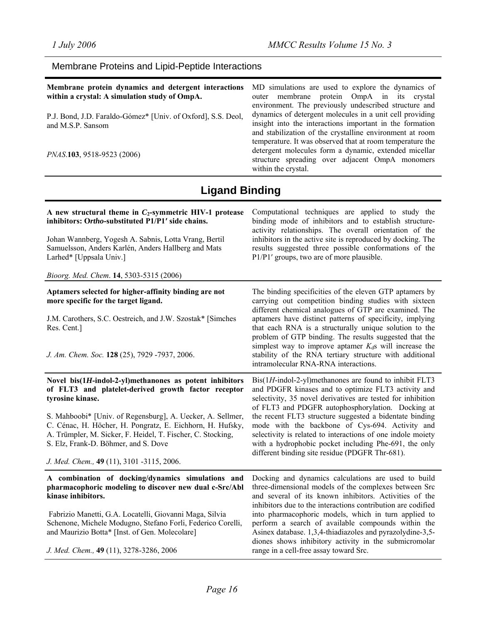## Membrane Proteins and Lipid-Peptide Interactions

| Membrane protein dynamics and detergent interactions<br>within a crystal: A simulation study of OmpA. | MD simulations are used to explore the dynamics of<br>outer membrane protein OmpA in its crystal                                                                                                                                          |
|-------------------------------------------------------------------------------------------------------|-------------------------------------------------------------------------------------------------------------------------------------------------------------------------------------------------------------------------------------------|
| P.J. Bond, J.D. Faraldo-Gómez* [Univ. of Oxford], S.S. Deol,<br>and M.S.P. Sansom                     | environment. The previously undescribed structure and<br>dynamics of detergent molecules in a unit cell providing<br>insight into the interactions important in the formation<br>and stabilization of the crystalline environment at room |
| <i>PNAS</i> .103, 9518-9523 (2006)                                                                    | temperature. It was observed that at room temperature the<br>detergent molecules form a dynamic, extended micellar<br>structure spreading over adjacent OmpA monomers<br>within the crystal.                                              |
|                                                                                                       |                                                                                                                                                                                                                                           |

# **Ligand Binding**

| A new structural theme in $C_2$ -symmetric HIV-1 protease<br>inhibitors: Ortho-substituted P1/P1' side chains.<br>Johan Wannberg, Yogesh A. Sabnis, Lotta Vrang, Bertil<br>Samuelsson, Anders Karlén, Anders Hallberg and Mats<br>Larhed* [Uppsala Univ.]                                                                                                                                                            | Computational techniques are applied to study the<br>binding mode of inhibitors and to establish structure-<br>activity relationships. The overall orientation of the<br>inhibitors in the active site is reproduced by docking. The<br>results suggested three possible conformations of the<br>P1/P1' groups, two are of more plausible.                                                                                                                                                                                                                                          |
|----------------------------------------------------------------------------------------------------------------------------------------------------------------------------------------------------------------------------------------------------------------------------------------------------------------------------------------------------------------------------------------------------------------------|-------------------------------------------------------------------------------------------------------------------------------------------------------------------------------------------------------------------------------------------------------------------------------------------------------------------------------------------------------------------------------------------------------------------------------------------------------------------------------------------------------------------------------------------------------------------------------------|
| Bioorg. Med. Chem. 14, 5303-5315 (2006)                                                                                                                                                                                                                                                                                                                                                                              |                                                                                                                                                                                                                                                                                                                                                                                                                                                                                                                                                                                     |
| Aptamers selected for higher-affinity binding are not<br>more specific for the target ligand.<br>J.M. Carothers, S.C. Oestreich, and J.W. Szostak* [Simches]<br>Res. Cent.]<br>J. Am. Chem. Soc. 128 (25), 7929 -7937, 2006.                                                                                                                                                                                         | The binding specificities of the eleven GTP aptamers by<br>carrying out competition binding studies with sixteen<br>different chemical analogues of GTP are examined. The<br>aptamers have distinct patterns of specificity, implying<br>that each RNA is a structurally unique solution to the<br>problem of GTP binding. The results suggested that the<br>simplest way to improve aptamer $K_d$ s will increase the<br>stability of the RNA tertiary structure with additional                                                                                                   |
| Novel $bis(1H-indol-2-yl)$ methanones as potent inhibitors<br>of FLT3 and platelet-derived growth factor receptor<br>tyrosine kinase.<br>S. Mahboobi* [Univ. of Regensburg], A. Uecker, A. Sellmer,<br>C. Cénac, H. Höcher, H. Pongratz, E. Eichhorn, H. Hufsky,<br>A. Trümpler, M. Sicker, F. Heidel, T. Fischer, C. Stocking,<br>S. Elz, Frank-D. Böhmer, and S. Dove<br>J. Med. Chem., 49 (11), 3101 -3115, 2006. | intramolecular RNA-RNA interactions.<br>$Bis(1H\text{-}\text{indol-2-yl})$ methanones are found to inhibit FLT3<br>and PDGFR kinases and to optimize FLT3 activity and<br>selectivity, 35 novel derivatives are tested for inhibition<br>of FLT3 and PDGFR autophosphorylation. Docking at<br>the recent FLT3 structure suggested a bidentate binding<br>mode with the backbone of Cys-694. Activity and<br>selectivity is related to interactions of one indole moiety<br>with a hydrophobic pocket including Phe-691, the only<br>different binding site residue (PDGFR Thr-681). |
| A combination of docking/dynamics simulations and<br>pharmacophoric modeling to discover new dual c-Src/Abl<br>kinase inhibitors.<br>Fabrizio Manetti, G.A. Locatelli, Giovanni Maga, Silvia<br>Schenone, Michele Modugno, Stefano Forli, Federico Corelli,<br>and Maurizio Botta* [Inst. of Gen. Molecolare]<br>J. Med. Chem., 49 (11), 3278-3286, 2006                                                             | Docking and dynamics calculations are used to build<br>three-dimensional models of the complexes between Src<br>and several of its known inhibitors. Activities of the<br>inhibitors due to the interactions contribution are codified<br>into pharmacophoric models, which in turn applied to<br>perform a search of available compounds within the<br>Asinex database. 1,3,4-thiadiazoles and pyrazolydine-3,5-<br>diones shows inhibitory activity in the submicromolar<br>range in a cell-free assay toward Src.                                                                |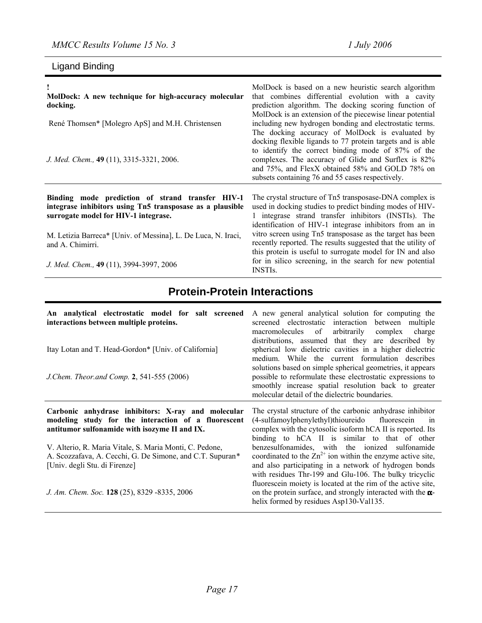# Ligand Binding

| MolDock: A new technique for high-accuracy molecular<br>docking.<br>René Thomsen* [Molegro ApS] and M.H. Christensen<br>J. Med. Chem., 49 (11), 3315-3321, 2006.                                                                                                                      | MolDock is based on a new heuristic search algorithm<br>that combines differential evolution with a cavity<br>prediction algorithm. The docking scoring function of<br>MolDock is an extension of the piecewise linear potential<br>including new hydrogen bonding and electrostatic terms.<br>The docking accuracy of MolDock is evaluated by<br>docking flexible ligands to 77 protein targets and is able<br>to identify the correct binding mode of 87% of the<br>complexes. The accuracy of Glide and Surflex is 82%<br>and 75%, and FlexX obtained 58% and GOLD 78% on<br>subsets containing 76 and 55 cases respectively. |
|---------------------------------------------------------------------------------------------------------------------------------------------------------------------------------------------------------------------------------------------------------------------------------------|----------------------------------------------------------------------------------------------------------------------------------------------------------------------------------------------------------------------------------------------------------------------------------------------------------------------------------------------------------------------------------------------------------------------------------------------------------------------------------------------------------------------------------------------------------------------------------------------------------------------------------|
| Binding mode prediction of strand transfer HIV-1<br>integrase inhibitors using Tn5 transposase as a plausible<br>surrogate model for HIV-1 integrase.<br>M. Letizia Barreca* [Univ. of Messina], L. De Luca, N. Iraci,<br>and A. Chimirri.<br>J. Med. Chem., 49 (11), 3994-3997, 2006 | The crystal structure of Tn5 transposase-DNA complex is<br>used in docking studies to predict binding modes of HIV-<br>1 integrase strand transfer inhibitors (INSTIs). The<br>identification of HIV-1 integrase inhibitors from an in<br>vitro screen using Tn5 transposase as the target has been<br>recently reported. The results suggested that the utility of<br>this protein is useful to surrogate model for IN and also<br>for in silico screening, in the search for new potential<br><b>INSTIS.</b>                                                                                                                   |

# **Protein-Protein Interactions**

| An analytical electrostatic model for salt screened<br>interactions between multiple proteins.<br>Itay Lotan and T. Head-Gordon* [Univ. of California]<br>J.Chem. Theor.and Comp. 2, 541-555 (2006) | A new general analytical solution for computing the<br>screened electrostatic interaction between multiple<br>macromolecules of arbitrarily complex<br>charge<br>distributions, assumed that they are described by<br>spherical low dielectric cavities in a higher dielectric<br>medium. While the current formulation describes<br>solutions based on simple spherical geometries, it appears<br>possible to reformulate these electrostatic expressions to<br>smoothly increase spatial resolution back to greater<br>molecular detail of the dielectric boundaries. |
|-----------------------------------------------------------------------------------------------------------------------------------------------------------------------------------------------------|-------------------------------------------------------------------------------------------------------------------------------------------------------------------------------------------------------------------------------------------------------------------------------------------------------------------------------------------------------------------------------------------------------------------------------------------------------------------------------------------------------------------------------------------------------------------------|
| Carbonic anhydrase inhibitors: X-ray and molecular<br>modeling study for the interaction of a fluorescent<br>antitumor sulfonamide with isozyme II and IX.                                          | The crystal structure of the carbonic anhydrase inhibitor<br>(4-sulfamoylphenylethyl)thioureido fluorescein<br>in<br>complex with the cytosolic isoform hCA II is reported. Its<br>binding to hCA II is similar to that of other                                                                                                                                                                                                                                                                                                                                        |
| V. Alterio, R. Maria Vitale, S. Maria Monti, C. Pedone,<br>A. Scozzafava, A. Cecchi, G. De Simone, and C.T. Supuran*<br>[Univ. degli Stu. di Firenze]                                               | benzesulfonamides, with the ionized sulfonamide<br>coordinated to the $\text{Zn}^{2+}$ ion within the enzyme active site,<br>and also participating in a network of hydrogen bonds<br>with residues Thr-199 and Glu-106. The bulky tricyclic                                                                                                                                                                                                                                                                                                                            |
| J. Am. Chem. Soc. 128 (25), 8329 -8335, 2006                                                                                                                                                        | fluorescein moiety is located at the rim of the active site,<br>on the protein surface, and strongly interacted with the $\alpha$ -<br>helix formed by residues Asp130-Val135.                                                                                                                                                                                                                                                                                                                                                                                          |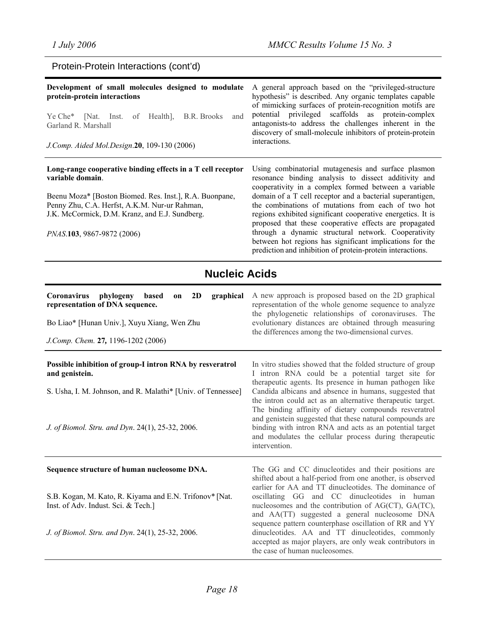| Protein-Protein Interactions (cont'd) |  |  |
|---------------------------------------|--|--|
|---------------------------------------|--|--|

| Development of small molecules designed to modulate<br>protein-protein interactions<br>Ye Che <sup>*</sup> [Nat. Inst.<br>of Health],<br>B.R. Brooks<br>and<br>Garland R. Marshall<br>J.Comp. Aided Mol.Design.20, 109-130 (2006)                                           | A general approach based on the "privileged-structure"<br>hypothesis" is described. Any organic templates capable<br>of mimicking surfaces of protein-recognition motifs are<br>potential privileged scaffolds as protein-complex<br>antagonists-to address the challenges inherent in the<br>discovery of small-molecule inhibitors of protein-protein<br>interactions.                                                                                                                                                                                                                         |  |
|-----------------------------------------------------------------------------------------------------------------------------------------------------------------------------------------------------------------------------------------------------------------------------|--------------------------------------------------------------------------------------------------------------------------------------------------------------------------------------------------------------------------------------------------------------------------------------------------------------------------------------------------------------------------------------------------------------------------------------------------------------------------------------------------------------------------------------------------------------------------------------------------|--|
| Long-range cooperative binding effects in a T cell receptor<br>variable domain.<br>Beenu Moza* [Boston Biomed. Res. Inst.], R.A. Buonpane,<br>Penny Zhu, C.A. Herfst, A.K.M. Nur-ur Rahman,<br>J.K. McCormick, D.M. Kranz, and E.J. Sundberg.<br>PNAS.103, 9867-9872 (2006) | Using combinatorial mutagenesis and surface plasmon<br>resonance binding analysis to dissect additivity and<br>cooperativity in a complex formed between a variable<br>domain of a T cell receptor and a bacterial superantigen,<br>the combinations of mutations from each of two hot<br>regions exhibited significant cooperative energetics. It is<br>proposed that these cooperative effects are propagated<br>through a dynamic structural network. Cooperativity<br>between hot regions has significant implications for the<br>prediction and inhibition of protein-protein interactions. |  |
| <b>Nucleic Acids</b>                                                                                                                                                                                                                                                        |                                                                                                                                                                                                                                                                                                                                                                                                                                                                                                                                                                                                  |  |
| Coronavirus<br>phylogeny<br>based<br>2D<br>graphical<br>on<br>representation of DNA sequence.<br>Bo Liao* [Hunan Univ.], Xuyu Xiang, Wen Zhu<br>J.Comp. Chem. 27, 1196-1202 (2006)                                                                                          | A new approach is proposed based on the 2D graphical<br>representation of the whole genome sequence to analyze<br>the phylogenetic relationships of coronaviruses. The<br>evolutionary distances are obtained through measuring<br>the differences among the two-dimensional curves.                                                                                                                                                                                                                                                                                                             |  |
| Possible inhibition of group-I intron RNA by resveratrol                                                                                                                                                                                                                    | In vitro studies showed that the folded structure of group                                                                                                                                                                                                                                                                                                                                                                                                                                                                                                                                       |  |

**and genistein.** 

S. Usha, I. M. Johnson, and R. Malathi\* [Univ. of Tennessee]

*J. of Biomol. Stru. and Dyn*. 24(1), 25-32, 2006.

#### **Sequence structure of human nucleosome DNA.**

S.B. Kogan, M. Kato, R. Kiyama and E.N. Trifonov\* [Nat. Inst. of Adv. Indust. Sci. & Tech.]

*J. of Biomol. Stru. and Dyn*. 24(1), 25-32, 2006.

In vitro studies showed that the folded structure of group I intron RNA could be a potential target site for therapeutic agents. Its presence in human pathogen like Candida albicans and absence in humans, suggested that the intron could act as an alternative therapeutic target. The binding affinity of dietary compounds resveratrol and genistein suggested that these natural compounds are binding with intron RNA and acts as an potential target and modulates the cellular process during therapeutic intervention.

The GG and CC dinucleotides and their positions are shifted about a half-period from one another, is observed earlier for AA and TT dinucleotides. The dominance of oscillating GG and CC dinucleotides in human nucleosomes and the contribution of AG(CT), GA(TC), and AA(TT) suggested a general nucleosome DNA sequence pattern counterphase oscillation of RR and YY dinucleotides. AA and TT dinucleotides, commonly accepted as major players, are only weak contributors in the case of human nucleosomes.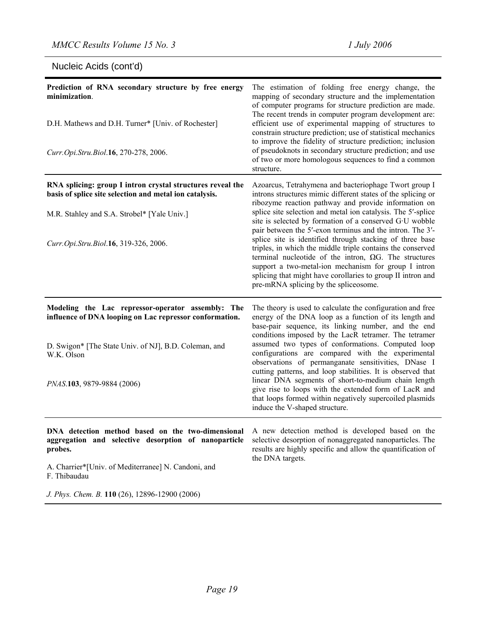# Nucleic Acids (cont'd)

| Prediction of RNA secondary structure by free energy<br>minimization.<br>D.H. Mathews and D.H. Turner* [Univ. of Rochester]<br>Curr.Opi.Stru.Biol.16, 270-278, 2006.                                                                          | The estimation of folding free energy change, the<br>mapping of secondary structure and the implementation<br>of computer programs for structure prediction are made.<br>The recent trends in computer program development are:<br>efficient use of experimental mapping of structures to<br>constrain structure prediction; use of statistical mechanics<br>to improve the fidelity of structure prediction; inclusion<br>of pseudoknots in secondary structure prediction; and use<br>of two or more homologous sequences to find a common<br>structure.                                                                                                                                                                       |
|-----------------------------------------------------------------------------------------------------------------------------------------------------------------------------------------------------------------------------------------------|----------------------------------------------------------------------------------------------------------------------------------------------------------------------------------------------------------------------------------------------------------------------------------------------------------------------------------------------------------------------------------------------------------------------------------------------------------------------------------------------------------------------------------------------------------------------------------------------------------------------------------------------------------------------------------------------------------------------------------|
| RNA splicing: group I intron crystal structures reveal the<br>basis of splice site selection and metal ion catalysis.<br>M.R. Stahley and S.A. Strobel* [Yale Univ.]<br>Curr.Opi.Stru.Biol.16, 319-326, 2006.                                 | Azoarcus, Tetrahymena and bacteriophage Twort group I<br>introns structures mimic different states of the splicing or<br>ribozyme reaction pathway and provide information on<br>splice site selection and metal ion catalysis. The 5'-splice<br>site is selected by formation of a conserved G·U wobble<br>pair between the 5'-exon terminus and the intron. The 3'-<br>splice site is identified through stacking of three base<br>triples, in which the middle triple contains the conserved<br>terminal nucleotide of the intron, $\Omega$ G. The structures<br>support a two-metal-ion mechanism for group I intron<br>splicing that might have corollaries to group II intron and<br>pre-mRNA splicing by the spliceosome. |
| Modeling the Lac repressor-operator assembly: The<br>influence of DNA looping on Lac repressor conformation.<br>D. Swigon* [The State Univ. of NJ], B.D. Coleman, and<br>W.K. Olson<br>PNAS.103, 9879-9884 (2006)                             | The theory is used to calculate the configuration and free<br>energy of the DNA loop as a function of its length and<br>base-pair sequence, its linking number, and the end<br>conditions imposed by the LacR tetramer. The tetramer<br>assumed two types of conformations. Computed loop<br>configurations are compared with the experimental<br>observations of permanganate sensitivities, DNase I<br>cutting patterns, and loop stabilities. It is observed that<br>linear DNA segments of short-to-medium chain length<br>give rise to loops with the extended form of LacR and<br>that loops formed within negatively supercoiled plasmids<br>induce the V-shaped structure.                                               |
| DNA detection method based on the two-dimensional<br>aggregation and selective desorption of nanoparticle<br>probes.<br>A. Charrier*[Univ. of Mediterranee] N. Candoni, and<br>F. Thibaudau<br>J. Phys. Chem. B. 110 (26), 12896-12900 (2006) | A new detection method is developed based on the<br>selective desorption of nonaggregated nanoparticles. The<br>results are highly specific and allow the quantification of<br>the DNA targets.                                                                                                                                                                                                                                                                                                                                                                                                                                                                                                                                  |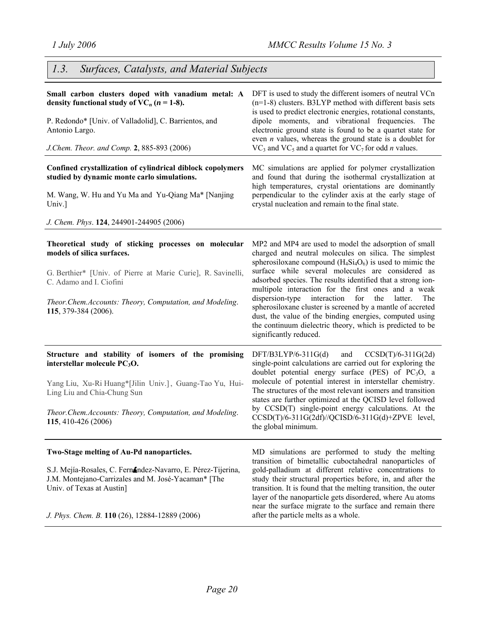# *1.3. Surfaces, Catalysts, and Material Subjects*

| Small carbon clusters doped with vanadium metal: A<br>density functional study of $VC_n$ ( $n = 1-8$ ).<br>P. Redondo* [Univ. of Valladolid], C. Barrientos, and<br>Antonio Largo.<br>J.Chem. Theor. and Comp. 2, 885-893 (2006)                                  | DFT is used to study the different isomers of neutral VCn<br>$(n=1-8)$ clusters. B3LYP method with different basis sets<br>is used to predict electronic energies, rotational constants,<br>dipole moments, and vibrational frequencies. The<br>electronic ground state is found to be a quartet state for<br>even $n$ values, whereas the ground state is a doublet for<br>$VC_3$ and $VC_5$ and a quartet for $VC_7$ for odd <i>n</i> values.                                                                                                                                                                                            |
|-------------------------------------------------------------------------------------------------------------------------------------------------------------------------------------------------------------------------------------------------------------------|--------------------------------------------------------------------------------------------------------------------------------------------------------------------------------------------------------------------------------------------------------------------------------------------------------------------------------------------------------------------------------------------------------------------------------------------------------------------------------------------------------------------------------------------------------------------------------------------------------------------------------------------|
| Confined crystallization of cylindrical diblock copolymers<br>studied by dynamic monte carlo simulations.<br>M. Wang, W. Hu and Yu Ma and Yu-Qiang Ma* [Nanjing<br>Univ.]<br>J. Chem. Phys. 124, 244901-244905 (2006)                                             | MC simulations are applied for polymer crystallization<br>and found that during the isothermal crystallization at<br>high temperatures, crystal orientations are dominantly<br>perpendicular to the cylinder axis at the early stage of<br>crystal nucleation and remain to the final state.                                                                                                                                                                                                                                                                                                                                               |
| Theoretical study of sticking processes on molecular<br>models of silica surfaces.<br>G. Berthier* [Univ. of Pierre at Marie Curie], R. Savinelli,<br>C. Adamo and I. Ciofini<br>Theor.Chem.Accounts: Theory, Computation, and Modeling.<br>115, 379-384 (2006).  | MP2 and MP4 are used to model the adsorption of small<br>charged and neutral molecules on silica. The simplest<br>spherosiloxane compound $(H_4Si_4O_6)$ is used to mimic the<br>surface while several molecules are considered as<br>adsorbed species. The results identified that a strong ion-<br>multipole interaction for the first ones and a weak<br>dispersion-type<br>interaction<br>for<br>the<br>latter.<br>The<br>spherosiloxane cluster is screened by a mantle of accreted<br>dust, the value of the binding energies, computed using<br>the continuum dielectric theory, which is predicted to be<br>significantly reduced. |
| Structure and stability of isomers of the promising<br>interstellar molecule $PC3O$ .<br>Yang Liu, Xu-Ri Huang*[Jilin Univ.], Guang-Tao Yu, Hui-<br>Ling Liu and Chia-Chung Sun<br>Theor.Chem.Accounts: Theory, Computation, and Modeling.<br>115, 410-426 (2006) | $CCSD(T)/6-311G(2d)$<br>$DFT/B3LYP/6-311G(d)$<br>and<br>single-point calculations are carried out for exploring the<br>doublet potential energy surface (PES) of $PC3O$ , a<br>molecule of potential interest in interstellar chemistry.<br>The structures of the most relevant isomers and transition<br>states are further optimized at the QCISD level followed<br>by CCSD(T) single-point energy calculations. At the<br>$CCSD(T)/6-311G(2df)/QCISD/6-311G(d)+ZPVE$ level,<br>the global minimum.                                                                                                                                      |
| Two-Stage melting of Au-Pd nanoparticles.<br>S.J. Mejía-Rosales, C. Fernández-Navarro, E. Pérez-Tijerina,<br>J.M. Montejano-Carrizales and M. José-Yacaman* [The<br>Univ. of Texas at Austin]<br>J. Phys. Chem. B. 110 (26), 12884-12889 (2006)                   | MD simulations are performed to study the melting<br>transition of bimetallic cuboctahedral nanoparticles of<br>gold-palladium at different relative concentrations to<br>study their structural properties before, in, and after the<br>transition. It is found that the melting transition, the outer<br>layer of the nanoparticle gets disordered, where Au atoms<br>near the surface migrate to the surface and remain there<br>after the particle melts as a whole.                                                                                                                                                                   |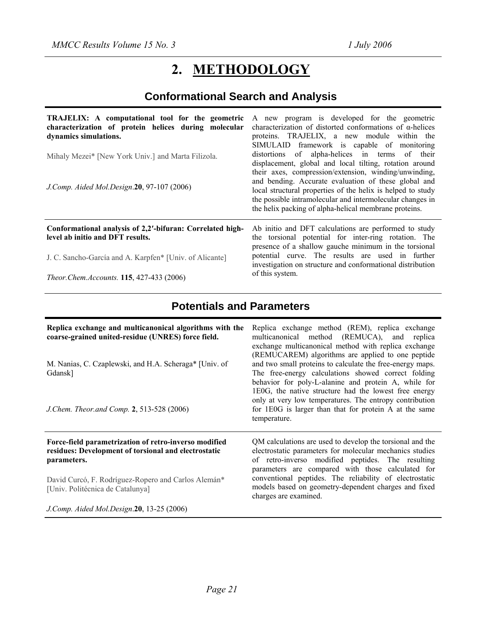# **2. METHODOLOGY**

# **Conformational Search and Analysis**

| TRAJELIX: A computational tool for the geometric<br>characterization of protein helices during molecular<br>dynamics simulations.<br>Mihaly Mezei* [New York Univ.] and Marta Filizola.<br>J.Comp. Aided Mol.Design.20, 97-107 (2006) | A new program is developed for the geometric<br>characterization of distorted conformations of $\alpha$ -helices<br>proteins. TRAJELIX, a new module within the<br>SIMULAID framework is capable of monitoring<br>distortions of alpha-helices in terms of their<br>displacement, global and local tilting, rotation around<br>their axes, compression/extension, winding/unwinding,<br>and bending. Accurate evaluation of these global and<br>local structural properties of the helix is helped to study<br>the possible intramolecular and intermolecular changes in<br>the helix packing of alpha-helical membrane proteins. |
|---------------------------------------------------------------------------------------------------------------------------------------------------------------------------------------------------------------------------------------|-----------------------------------------------------------------------------------------------------------------------------------------------------------------------------------------------------------------------------------------------------------------------------------------------------------------------------------------------------------------------------------------------------------------------------------------------------------------------------------------------------------------------------------------------------------------------------------------------------------------------------------|
| Conformational analysis of 2,2'-bifuran: Correlated high-                                                                                                                                                                             | Ab initio and DFT calculations are performed to study                                                                                                                                                                                                                                                                                                                                                                                                                                                                                                                                                                             |
| level ab initio and DFT results.                                                                                                                                                                                                      | the torsional potential for inter-ring rotation. The                                                                                                                                                                                                                                                                                                                                                                                                                                                                                                                                                                              |
| J. C. Sancho-García and A. Karpfen* [Univ. of Alicante]<br>Theor. Chem. Accounts. 115, 427-433 (2006)                                                                                                                                 | presence of a shallow gauche minimum in the torsional<br>potential curve. The results are used in further<br>investigation on structure and conformational distribution<br>of this system.                                                                                                                                                                                                                                                                                                                                                                                                                                        |

# **Potentials and Parameters**

| Replica exchange and multicanonical algorithms with the<br>coarse-grained united-residue (UNRES) force field.<br>M. Nanias, C. Czaplewski, and H.A. Scheraga* [Univ. of<br>Gdansk]<br>J. Chem. Theor. and Comp. 2, 513-528 (2006)   | Replica exchange method (REM), replica exchange<br>multicanonical method (REMUCA), and replica<br>exchange multicanonical method with replica exchange<br>(REMUCAREM) algorithms are applied to one peptide<br>and two small proteins to calculate the free-energy maps.<br>The free-energy calculations showed correct folding<br>behavior for poly-L-alanine and protein A, while for<br>1E0G, the native structure had the lowest free energy<br>only at very low temperatures. The entropy contribution<br>for 1E0G is larger than that for protein A at the same<br>temperature. |
|-------------------------------------------------------------------------------------------------------------------------------------------------------------------------------------------------------------------------------------|---------------------------------------------------------------------------------------------------------------------------------------------------------------------------------------------------------------------------------------------------------------------------------------------------------------------------------------------------------------------------------------------------------------------------------------------------------------------------------------------------------------------------------------------------------------------------------------|
| Force-field parametrization of retro-inverso modified<br>residues: Development of torsional and electrostatic<br>parameters.<br>David Curcó, F. Rodríguez-Ropero and Carlos Alemán <sup>*</sup><br>[Univ. Politécnica de Catalunya] | QM calculations are used to develop the torsional and the<br>electrostatic parameters for molecular mechanics studies<br>of retro-inverso modified peptides. The resulting<br>parameters are compared with those calculated for<br>conventional peptides. The reliability of electrostatic<br>models based on geometry-dependent charges and fixed<br>charges are examined.                                                                                                                                                                                                           |
| J.Comp. Aided Mol.Design.20, 13-25 (2006)                                                                                                                                                                                           |                                                                                                                                                                                                                                                                                                                                                                                                                                                                                                                                                                                       |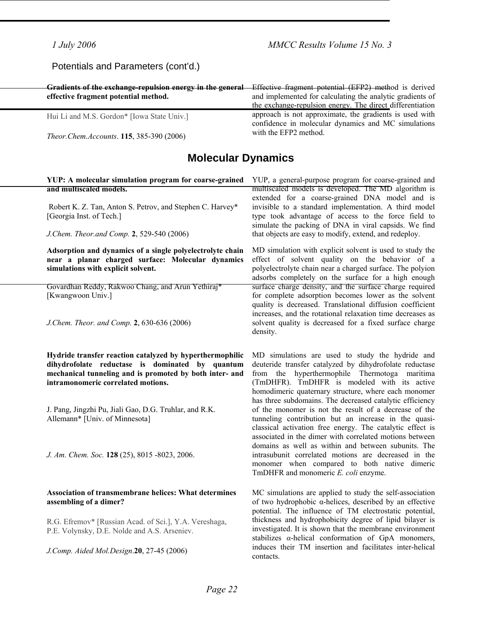## Potentials and Parameters (cont'd.)

| Gradients of the exchange-repulsion energy in the general<br>effective fragment potential method. | Effective fragment potential (EFP2) method is derived<br>and implemented for calculating the analytic gradients of<br>the exchange-repulsion energy. The direct differentiation |
|---------------------------------------------------------------------------------------------------|---------------------------------------------------------------------------------------------------------------------------------------------------------------------------------|
| Hui Li and M.S. Gordon* [Iowa State Univ.]                                                        | approach is not approximate, the gradients is used with<br>confidence in molecular dynamics and MC simulations                                                                  |
| Theor.Chem.Accounts. 115, 385-390 (2006)                                                          | with the EFP2 method.                                                                                                                                                           |

## **Molecular Dynamics**

#### **YUP: A molecular simulation program for coarse-grained and multiscaled models.**

 Robert K. Z. Tan, Anton S. Petrov, and Stephen C. Harvey\* [Georgia Inst. of Tech.]

*J.Chem. Theor.and Comp.* **2**, 529-540 (2006)

**Adsorption and dynamics of a single polyelectrolyte chain near a planar charged surface: Molecular dynamics simulations with explicit solvent.** 

Govardhan Reddy, Rakwoo Chang, and Arun Yethiraj\* [Kwangwoon Univ.]

*J.Chem. Theor. and Comp.* **2**, 630-636 (2006)

**Hydride transfer reaction catalyzed by hyperthermophilic dihydrofolate reductase is dominated by quantum mechanical tunneling and is promoted by both inter- and intramonomeric correlated motions.** 

J. Pang, Jingzhi Pu, Jiali Gao, D.G. Truhlar, and R.K. Allemann\* [Univ. of Minnesota]

*J. Am. Chem. Soc.* **128** (25), 8015 -8023, 2006.

#### **Association of transmembrane helices: What determines assembling of a dimer?**

R.G. Efremov\* [Russian Acad. of Sci.], Y.A. Vereshaga, P.E. Volynsky, D.E. Nolde and A.S. Arseniev.

*J.Comp. Aided Mol.Design*.**20**, 27-45 (2006)

YUP, a general-purpose program for coarse-grained and multiscaled models is developed. The MD algorithm is extended for a coarse-grained DNA model and is invisible to a standard implementation. A third model type took advantage of access to the force field to simulate the packing of DNA in viral capsids. We find that objects are easy to modify, extend, and redeploy.

MD simulation with explicit solvent is used to study the effect of solvent quality on the behavior of a polyelectrolyte chain near a charged surface. The polyion adsorbs completely on the surface for a high enough surface charge density, and the surface charge required for complete adsorption becomes lower as the solvent quality is decreased. Translational diffusion coefficient increases, and the rotational relaxation time decreases as solvent quality is decreased for a fixed surface charge density.

MD simulations are used to study the hydride and deuteride transfer catalyzed by dihydrofolate reductase from the hyperthermophile Thermotoga maritima (TmDHFR). TmDHFR is modeled with its active homodimeric quaternary structure, where each monomer has three subdomains. The decreased catalytic efficiency of the monomer is not the result of a decrease of the tunneling contribution but an increase in the quasiclassical activation free energy. The catalytic effect is associated in the dimer with correlated motions between domains as well as within and between subunits. The intrasubunit correlated motions are decreased in the monomer when compared to both native dimeric TmDHFR and monomeric *E. coli* enzyme.

MC simulations are applied to study the self-association of two hydrophobic α-helices, described by an effective potential. The influence of TM electrostatic potential, thickness and hydrophobicity degree of lipid bilayer is investigated. It is shown that the membrane environment stabilizes  $\alpha$ -helical conformation of GpA monomers, induces their TM insertion and facilitates inter-helical contacts.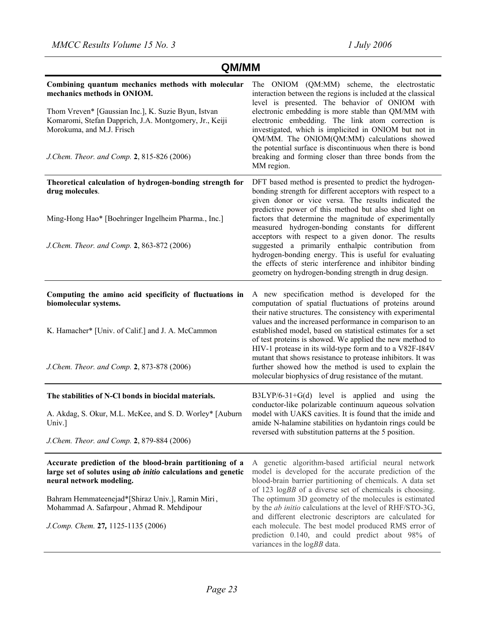| QM/MM                                                                                                                                                                                                                                                                                        |                                                                                                                                                                                                                                                                                                                                                                                                                                                                                                                                                                                                                                                   |  |
|----------------------------------------------------------------------------------------------------------------------------------------------------------------------------------------------------------------------------------------------------------------------------------------------|---------------------------------------------------------------------------------------------------------------------------------------------------------------------------------------------------------------------------------------------------------------------------------------------------------------------------------------------------------------------------------------------------------------------------------------------------------------------------------------------------------------------------------------------------------------------------------------------------------------------------------------------------|--|
| Combining quantum mechanics methods with molecular<br>mechanics methods in ONIOM.<br>Thom Vreven* [Gaussian Inc.], K. Suzie Byun, Istvan<br>Komaromi, Stefan Dapprich, J.A. Montgomery, Jr., Keiji<br>Morokuma, and M.J. Frisch<br>J.Chem. Theor. and Comp. 2, 815-826 (2006)                | The ONIOM (QM:MM) scheme, the electrostatic<br>interaction between the regions is included at the classical<br>level is presented. The behavior of ONIOM with<br>electronic embedding is more stable than QM/MM with<br>electronic embedding. The link atom correction is<br>investigated, which is implicited in ONIOM but not in<br>QM/MM. The ONIOM(QM:MM) calculations showed<br>the potential surface is discontinuous when there is bond<br>breaking and forming closer than three bonds from the<br>MM region.                                                                                                                             |  |
| Theoretical calculation of hydrogen-bonding strength for<br>drug molecules.<br>Ming-Hong Hao* [Boehringer Ingelheim Pharma., Inc.]<br>J.Chem. Theor. and Comp. 2, 863-872 (2006)                                                                                                             | DFT based method is presented to predict the hydrogen-<br>bonding strength for different acceptors with respect to a<br>given donor or vice versa. The results indicated the<br>predictive power of this method but also shed light on<br>factors that determine the magnitude of experimentally<br>measured hydrogen-bonding constants for different<br>acceptors with respect to a given donor. The results<br>suggested a primarily enthalpic contribution from<br>hydrogen-bonding energy. This is useful for evaluating<br>the effects of steric interference and inhibitor binding<br>geometry on hydrogen-bonding strength in drug design. |  |
| Computing the amino acid specificity of fluctuations in<br>biomolecular systems.<br>K. Hamacher* [Univ. of Calif.] and J. A. McCammon<br>J.Chem. Theor. and Comp. 2, 873-878 (2006)                                                                                                          | A new specification method is developed for the<br>computation of spatial fluctuations of proteins around<br>their native structures. The consistency with experimental<br>values and the increased performance in comparison to an<br>established model, based on statistical estimates for a set<br>of test proteins is showed. We applied the new method to<br>HIV-1 protease in its wild-type form and to a V82F-I84V<br>mutant that shows resistance to protease inhibitors. It was<br>further showed how the method is used to explain the<br>molecular biophysics of drug resistance of the mutant.                                        |  |
| The stabilities of N-Cl bonds in biocidal materials.<br>A. Akdag, S. Okur, M.L. McKee, and S. D. Worley* [Auburn<br>Univ.<br>J.Chem. Theor. and Comp. 2, 879-884 (2006)                                                                                                                      | $B3LYP/6-31+G(d)$ level is applied and using the<br>conductor-like polarizable continuum aqueous solvation<br>model with UAKS cavities. It is found that the imide and<br>amide N-halamine stabilities on hydantoin rings could be<br>reversed with substitution patterns at the 5 position.                                                                                                                                                                                                                                                                                                                                                      |  |
| Accurate prediction of the blood-brain partitioning of a<br>large set of solutes using ab initio calculations and genetic<br>neural network modeling.<br>Bahram Hemmateenejad*[Shiraz Univ.], Ramin Miri,<br>Mohammad A. Safarpour, Ahmad R. Mehdipour<br>J.Comp. Chem. 27, 1125-1135 (2006) | A genetic algorithm-based artificial neural network<br>model is developed for the accurate prediction of the<br>blood-brain barrier partitioning of chemicals. A data set<br>of 123 $logBB$ of a diverse set of chemicals is choosing.<br>The optimum 3D geometry of the molecules is estimated<br>by the <i>ab initio</i> calculations at the level of RHF/STO-3G,<br>and different electronic descriptors are calculated for<br>each molecule. The best model produced RMS error of<br>prediction 0.140, and could predict about 98% of<br>variances in the logBB data.                                                                         |  |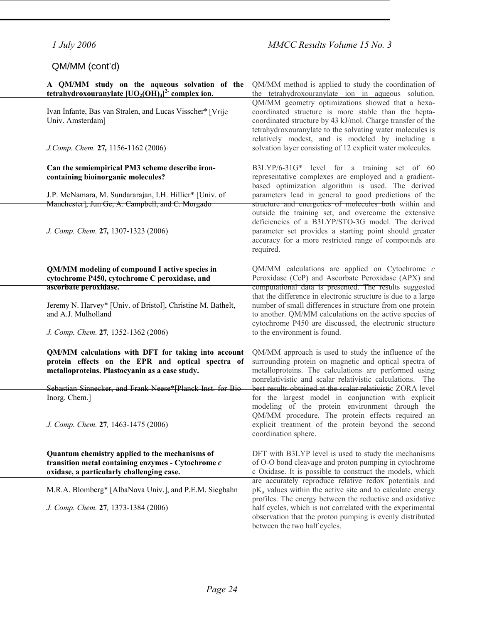*Page 24* 

## QM/MM (cont'd)

### **A QM/MM study on the aqueous solvation of the tetrahydroxouranylate [UO2(OH)4] 2- complex ion.**

Ivan Infante, Bas van Stralen, and Lucas Visscher\* [Vrije Univ. Amsterdam]

*J.Comp. Chem.* **27***,* 1156-1162 (2006)

#### **Can the semiempirical PM3 scheme describe ironcontaining bioinorganic molecules?**

J.P. McNamara, M. Sundararajan, I.H. Hillier\* [Univ. of Manchester], Jun Ge, A. Campbell, and C. Morgado

*J. Comp. Chem.* **27***,* 1307-1323 (2006)

#### **QM/MM modeling of compound I active species in cytochrome P450, cytochrome C peroxidase, and ascorbate peroxidase.**

Jeremy N. Harvey\* [Univ. of Bristol], Christine M. Bathelt, and A.J. Mulholland

*J. Comp. Chem.* **27***,* 1352-1362 (2006)

**QM/MM calculations with DFT for taking into account protein effects on the EPR and optical spectra of metalloproteins. Plastocyanin as a case study.** 

Sebastian Sinnecker, and Frank Neese\*[Planck-Inst. for Bio-Inorg. Chem.]

*J. Comp. Chem.* **27***,* 1463-1475 (2006)

**Quantum chemistry applied to the mechanisms of transition metal containing enzymes - Cytochrome** *c* **oxidase, a particularly challenging case.**

M.R.A. Blomberg\* [AlbaNova Univ.], and P.E.M. Siegbahn

*J. Comp. Chem.* **27***,* 1373-1384 (2006)

QM/MM method is applied to study the coordination of the tetrahydroxouranylate ion in aqueous solution. QM/MM geometry optimizations showed that a hexacoordinated structure is more stable than the heptacoordinated structure by 43 kJ/mol. Charge transfer of the tetrahydroxouranylate to the solvating water molecules is relatively modest, and is modeled by including a solvation layer consisting of 12 explicit water molecules.

B3LYP/6-31G\* level for a training set of 60 representative complexes are employed and a gradientbased optimization algorithm is used. The derived parameters lead in general to good predictions of the structure and energetics of molecules both within and outside the training set, and overcome the extensive deficiencies of a B3LYP/STO-3G model. The derived parameter set provides a starting point should greater accuracy for a more restricted range of compounds are required.

QM/MM calculations are applied on Cytochrome *c* Peroxidase (CcP) and Ascorbate Peroxidase (APX) and computational data is presented. The results suggested that the difference in electronic structure is due to a large number of small differences in structure from one protein to another. QM/MM calculations on the active species of cytochrome P450 are discussed, the electronic structure to the environment is found.

QM/MM approach is used to study the influence of the surrounding protein on magnetic and optical spectra of metalloproteins. The calculations are performed using nonrelativistic and scalar relativistic calculations. The best results obtained at the scalar relativistic ZORA level for the largest model in conjunction with explicit modeling of the protein environment through the QM/MM procedure. The protein effects required an explicit treatment of the protein beyond the second coordination sphere.

DFT with B3LYP level is used to study the mechanisms of O-O bond cleavage and proton pumping in cytochrome c Oxidase. It is possible to construct the models, which are accurately reproduce relative redox potentials and  $pK_a$  values within the active site and to calculate energy profiles. The energy between the reductive and oxidative half cycles, which is not correlated with the experimental observation that the proton pumping is evenly distributed between the two half cycles.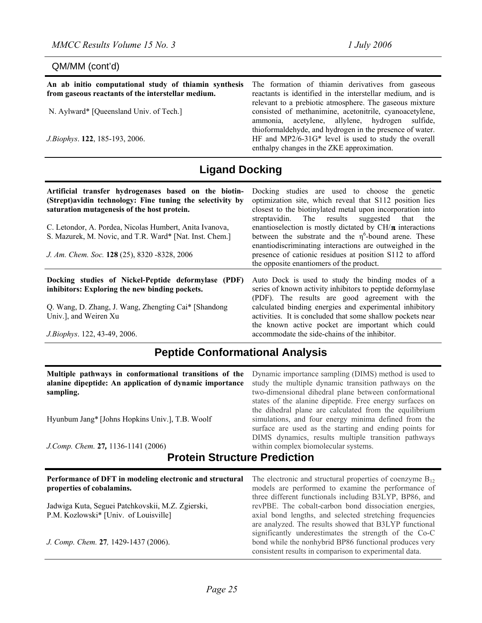## QM/MM (cont'd)

| An ab initio computational study of thiamin synthesis<br>from gaseous reactants of the interstellar medium. | The formation of thiamin derivatives from gaseous<br>reactants is identified in the interstellar medium, and is                                                       |
|-------------------------------------------------------------------------------------------------------------|-----------------------------------------------------------------------------------------------------------------------------------------------------------------------|
| N. Aylward* [Queensland Univ. of Tech.]                                                                     | relevant to a prebiotic atmosphere. The gaseous mixture<br>consisted of methanimine, acetonitrile, cyanoacetylene,<br>ammonia, acetylene, allylene, hydrogen sulfide, |
| J. Biophys. 122, 185-193, 2006.                                                                             | thioformaldehyde, and hydrogen in the presence of water.<br>HF and MP2/6-31G* level is used to study the overall<br>enthalpy changes in the ZKE approximation.        |

# **Ligand Docking**

| Artificial transfer hydrogenases based on the biotin-<br>(Strept) avidin technology: Fine tuning the selectivity by<br>saturation mutagenesis of the host protein.<br>C. Letondor, A. Pordea, Nicolas Humbert, Anita Ivanova,<br>S. Mazurek, M. Novic, and T.R. Ward* [Nat. Inst. Chem.]<br>J. Am. Chem. Soc. 128 (25), 8320 -8328, 2006 | Docking studies are used to choose the genetic<br>optimization site, which reveal that S112 position lies<br>closest to the biotinylated metal upon incorporation into<br>streptavidin. The results suggested that the<br>enantioselection is mostly dictated by $CH/\pi$ interactions<br>between the substrate and the $\eta^6$ -bound arene. These<br>enantiodiscriminating interactions are outweighed in the<br>presence of cationic residues at position S112 to afford<br>the opposite enantiomers of the product. |
|------------------------------------------------------------------------------------------------------------------------------------------------------------------------------------------------------------------------------------------------------------------------------------------------------------------------------------------|--------------------------------------------------------------------------------------------------------------------------------------------------------------------------------------------------------------------------------------------------------------------------------------------------------------------------------------------------------------------------------------------------------------------------------------------------------------------------------------------------------------------------|
| Docking studies of Nickel-Peptide deformylase (PDF)<br>inhibitors: Exploring the new binding pockets.                                                                                                                                                                                                                                    | Auto Dock is used to study the binding modes of a<br>series of known activity inhibitors to peptide deformy lase<br>(PDF). The results are good agreement with the                                                                                                                                                                                                                                                                                                                                                       |
| Q. Wang, D. Zhang, J. Wang, Zhengting Cai* [Shandong]<br>Univ.], and Weiren Xu                                                                                                                                                                                                                                                           | calculated binding energies and experimental inhibitory<br>activities. It is concluded that some shallow pockets near<br>the known active pocket are important which could                                                                                                                                                                                                                                                                                                                                               |
| J.Biophys. 122, 43-49, 2006.                                                                                                                                                                                                                                                                                                             | accommodate the side-chains of the inhibitor.                                                                                                                                                                                                                                                                                                                                                                                                                                                                            |

# **Peptide Conformational Analysis**

| Multiple pathways in conformational transitions of the<br>alanine dipeptide: An application of dynamic importance<br>sampling.<br>Hyunbum Jang* [Johns Hopkins Univ.], T.B. Woolf<br>J.Comp. Chem. 27, 1136-1141 (2006) | Dynamic importance sampling (DIMS) method is used to<br>study the multiple dynamic transition pathways on the<br>two-dimensional dihedral plane between conformational<br>states of the alanine dipeptide. Free energy surfaces on<br>the dihedral plane are calculated from the equilibrium<br>simulations, and four energy minima defined from the<br>surface are used as the starting and ending points for<br>DIMS dynamics, results multiple transition pathways<br>within complex biomolecular systems. |  |
|-------------------------------------------------------------------------------------------------------------------------------------------------------------------------------------------------------------------------|---------------------------------------------------------------------------------------------------------------------------------------------------------------------------------------------------------------------------------------------------------------------------------------------------------------------------------------------------------------------------------------------------------------------------------------------------------------------------------------------------------------|--|
| <b>Protein Structure Prediction</b>                                                                                                                                                                                     |                                                                                                                                                                                                                                                                                                                                                                                                                                                                                                               |  |
| Performance of DFT in modeling electronic and structural<br>properties of cobalamins.                                                                                                                                   | The electronic and structural properties of coenzyme $B_{12}$<br>models are performed to examine the performance of<br>three different functionals including B3LYP, BP86, and                                                                                                                                                                                                                                                                                                                                 |  |

Jadwiga Kuta, Seguei Patchkovskii, M.Z. Zgierski, P.M. Kozlowski\* [Univ. of Louisville]

*J. Comp. Chem.* **27***,* 1429-1437 (2006).

revPBE. The cobalt-carbon bond dissociation energies, axial bond lengths, and selected stretching frequencies are analyzed. The results showed that B3LYP functional significantly underestimates the strength of the Co-C bond while the nonhybrid BP86 functional produces very consistent results in comparison to experimental data.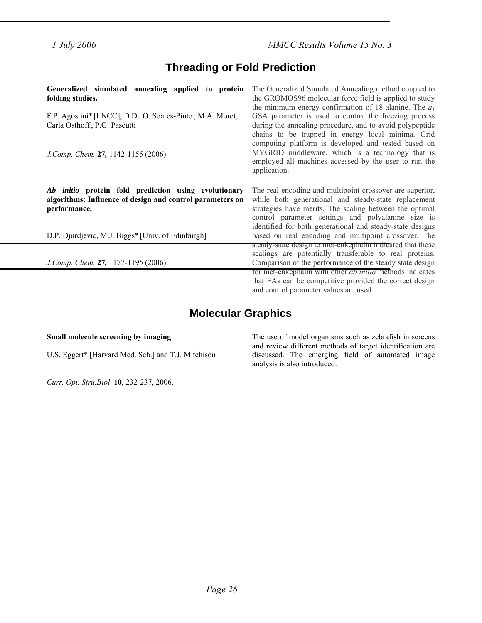*1 July 2006 MMCC Results Volume 15 No. 3* 

# **Threading or Fold Prediction**

| Generalized simulated annealing applied to protein<br>folding studies.                                                            | The Generalized Simulated Annealing method coupled to<br>the GROMOS96 molecular force field is applied to study                                                                                                                                                                                   |
|-----------------------------------------------------------------------------------------------------------------------------------|---------------------------------------------------------------------------------------------------------------------------------------------------------------------------------------------------------------------------------------------------------------------------------------------------|
| F.P. Agostini* [LNCC], D.De O. Soares-Pinto, M.A. Moret,                                                                          | the minimum energy confirmation of 18-alanine. The $q_T$<br>GSA parameter is used to control the freezing process                                                                                                                                                                                 |
| Carla Osthoff, P.G. Pascutti<br>J.Comp. Chem. 27, 1142-1155 (2006)                                                                | during the annealing procedure, and to avoid polypeptide<br>chains to be trapped in energy local minima. Grid<br>computing platform is developed and tested based on<br>MYGRID middleware, which is a technology that is<br>employed all machines accessed by the user to run the<br>application. |
| Ab initio protein fold prediction using evolutionary<br>algorithms: Influence of design and control parameters on<br>performance. | The real encoding and multipoint crossover are superior,<br>while both generational and steady-state replacement<br>strategies have merits. The scaling between the optimal<br>control parameter settings and polyalanine size is<br>identified for both generational and steady-state designs    |
| D.P. Djurdjevic, M.J. Biggs* [Univ. of Edinburgh]                                                                                 | based on real encoding and multipoint crossover. The<br>steady-state design to met-enkephalin indicated that these                                                                                                                                                                                |
| J.Comp. Chem. 27, 1177-1195 (2006).                                                                                               | scalings are potentially transferable to real proteins.<br>Comparison of the performance of the steady state design                                                                                                                                                                               |
|                                                                                                                                   | for met-enkephalin with other <i>ab initio</i> methods indicates<br>that EAs can be competitive provided the correct design<br>and control parameter values are used.                                                                                                                             |

# **Molecular Graphics**

| Small molecule screening by imaging.                | The use of model organisms such as zebrafish in screens   |
|-----------------------------------------------------|-----------------------------------------------------------|
|                                                     | and review different methods of target identification are |
| U.S. Eggert* [Harvard Med. Sch.] and T.J. Mitchison | discussed. The emerging field of automated image          |
|                                                     | analysis is also introduced.                              |

*Curr. Opi. Stru.Biol*. **10**, 232-237, 2006.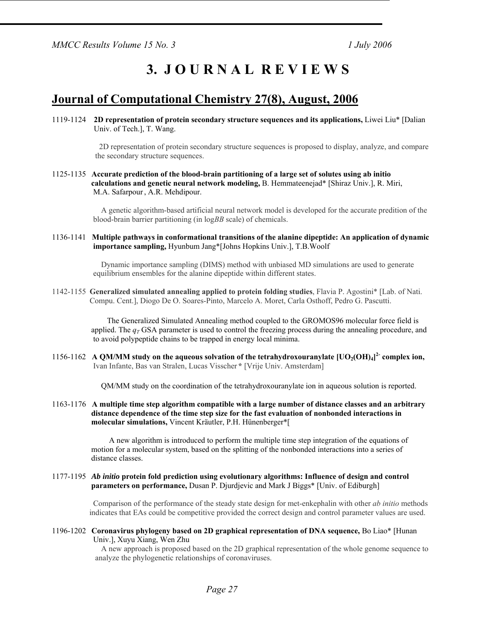*MMCC Results Volume 15 No. 3* 1 *July 2006* 

# **3. J O U R N A L R E V I E W S**

## **Journal of Computational Chemistry 27(8), August, 2006**

1119-1124 **2D representation of protein secondary structure sequences and its applications,** Liwei Liu\* [Dalian Univ. of Tech.], T. Wang.

> 2D representation of protein secondary structure sequences is proposed to display, analyze, and compare the secondary structure sequences.

1125-1135 **Accurate prediction of the blood-brain partitioning of a large set of solutes using ab initio calculations and genetic neural network modeling,** B. Hemmateenejad\* [Shiraz Univ.], R. Miri, M.A. Safarpour, A.R. Mehdipour.

> A genetic algorithm-based artificial neural network model is developed for the accurate predition of the blood-brain barrier partitioning (in log*BB* scale) of chemicals.

1136-1141 **Multiple pathways in conformational transitions of the alanine dipeptide: An application of dynamic importance sampling,** Hyunbum Jang\*[Johns Hopkins Univ.], T.B.Woolf

> Dynamic importance sampling (DIMS) method with unbiased MD simulations are used to generate equilibrium ensembles for the alanine dipeptide within different states.

1142-1155 **Generalized simulated annealing applied to protein folding studies**, Flavia P. Agostini\* [Lab. of Nati. Compu. Cent.], Diogo De O. Soares-Pinto, Marcelo A. Moret, Carla Osthoff, Pedro G. Pascutti.

> The Generalized Simulated Annealing method coupled to the GROMOS96 molecular force field is applied. The  $q_T$  GSA parameter is used to control the freezing process during the annealing procedure, and to avoid polypeptide chains to be trapped in energy local minima.

1156-1162 A QM/MM study on the aqueous solvation of the tetrahydroxouranylate  $[UO_2(OH)_4]^2$  complex ion, Ivan Infante, Bas van Stralen, Lucas Visscher **\*** [Vrije Univ. Amsterdam]

QM/MM study on the coordination of the tetrahydroxouranylate ion in aqueous solution is reported.

1163-1176 **A multiple time step algorithm compatible with a large number of distance classes and an arbitrary distance dependence of the time step size for the fast evaluation of nonbonded interactions in molecular simulations,** Vincent Kräutler, P.H. Hünenberger\*[

> A new algorithm is introduced to perform the multiple time step integration of the equations of motion for a molecular system, based on the splitting of the nonbonded interactions into a series of distance classes.

1177-1195 *Ab initio* **protein fold prediction using evolutionary algorithms: Influence of design and control parameters on performance,** Dusan P. Djurdjevic and Mark J Biggs\* [Univ. of Ediburgh]

> Comparison of the performance of the steady state design for met-enkephalin with other *ab initio* methods indicates that EAs could be competitive provided the correct design and control parameter values are used.

1196-1202 **Coronavirus phylogeny based on 2D graphical representation of DNA sequence,** Bo Liao\* [Hunan Univ.], Xuyu Xiang, Wen Zhu

> A new approach is proposed based on the 2D graphical representation of the whole genome sequence to analyze the phylogenetic relationships of coronaviruses.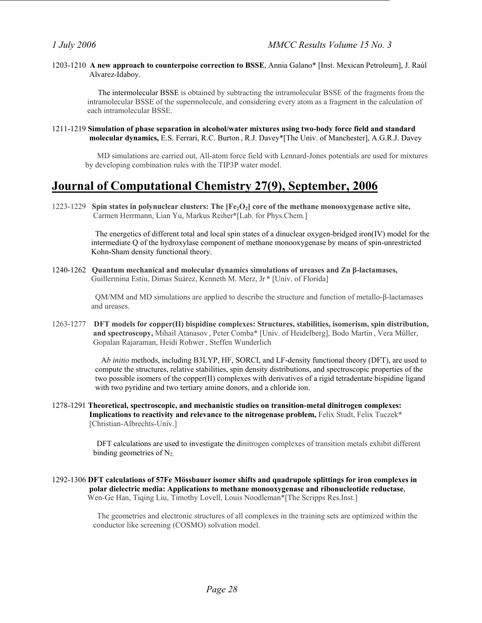1203-1210 **A new approach to counterpoise correction to BSSE**, Annia Galano\* [Inst. Mexican Petroleum], J. Raúl Alvarez-Idaboy.

 The intermolecular BSSE is obtained by subtracting the intramolecular BSSE of the fragments from the intramolecular BSSE of the supermolecule, and considering every atom as a fragment in the calculation of each intramolecular BSSE.

1211-1219 **Simulation of phase separation in alcohol/water mixtures using two-body force field and standard molecular dynamics,** E.S. Ferrari, R.C. Burton , R.J. Davey\*[The Univ. of Manchester], A.G.R.J. Davey

 MD simulations are carried out, All-atom force field with Lennard-Jones potentials are used for mixtures by developing combination rules with the TIP3P water model.

# **Journal of Computational Chemistry 27(9), September, 2006**

1223-1229 **Spin states in polynuclear clusters: The [Fe2O2] core of the methane monooxygenase active site,**  Carmen Herrmann, Lian Yu, Markus Reiher**\***[Lab. for Phys.Chem.]

> The energetics of different total and local spin states of a dinuclear oxygen-bridged iron(IV) model for the intermediate Q of the hydroxylase component of methane monooxygenase by means of spin-unrestricted Kohn-Sham density functional theory.

1240-1262 **Quantum mechanical and molecular dynamics simulations of ureases and Zn β-lactamases,**  Guillermina Estiu, Dimas Suárez, Kenneth M. Merz, Jr **\*** [Univ. of Florida]

> QM/MM and MD simulations are applied to describe the structure and function of metallo-β-lactamases and ureases.

1263-1277 **DFT models for copper(II) bispidine complexes: Structures, stabilities, isomerism, spin distribution, and spectroscopy,** Mihail Atanasov , Peter Comba\* [Univ. of Heidelberg], Bodo Martin , Vera Müller, Gopalan Rajaraman, Heidi Rohwer, Steffen Wunderlich

> A*b initio* methods, including B3LYP, HF, SORCI, and LF-density functional theory (DFT), are used to compute the structures, relative stabilities, spin density distributions, and spectroscopic properties of the two possible isomers of the copper(II) complexes with derivatives of a rigid tetradentate bispidine ligand with two pyridine and two tertiary amine donors, and a chloride ion.

1278-1291 **Theoretical, spectroscopic, and mechanistic studies on transition-metal dinitrogen complexes: Implications to reactivity and relevance to the nitrogenase problem,** Felix Studt, Felix Tuczek**\*** [Christian-Albrechts-Univ.]

> DFT calculations are used to investigate the dinitrogen complexes of transition metals exhibit different binding geometries of  $N_2$ .

1292-1306 **DFT calculations of 57Fe Mössbauer isomer shifts and quadrupole splittings for iron complexes in polar dielectric media: Applications to methane monooxygenase and ribonucleotide reductase**, Wen-Ge Han, Tiqing Liu, Timothy Lovell, Louis Noodleman\*[The Scripps Res.Inst.]

> The geometries and electronic structures of all complexes in the training sets are optimized within the conductor like screening (COSMO) solvation model.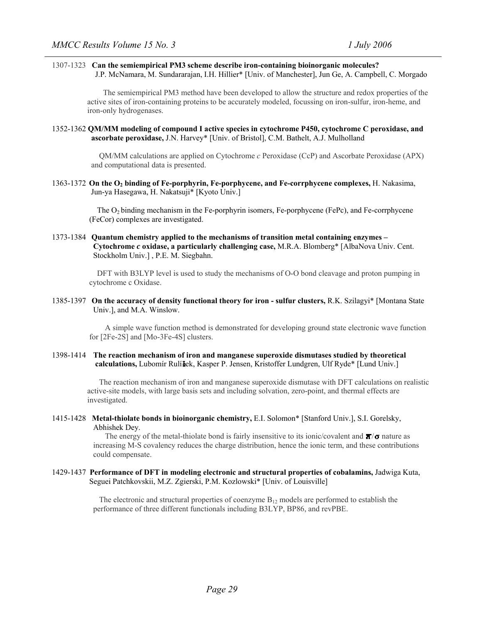#### 1307-1323 **Can the semiempirical PM3 scheme describe iron-containing bioinorganic molecules?**  J.P. McNamara, M. Sundararajan, I.H. Hillier\* [Univ. of Manchester], Jun Ge, A. Campbell, C. Morgado

 The semiempirical PM3 method have been developed to allow the structure and redox properties of the active sites of iron-containing proteins to be accurately modeled, focussing on iron-sulfur, iron-heme, and iron-only hydrogenases.

#### 1352-1362 **QM/MM modeling of compound I active species in cytochrome P450, cytochrome C peroxidase, and ascorbate peroxidase,** J.N. Harvey\* [Univ. of Bristol], C.M. Bathelt, A.J. Mulholland

 QM/MM calculations are applied on Cytochrome *c* Peroxidase (CcP) and Ascorbate Peroxidase (APX) and computational data is presented.

1363-1372 **On the O2 binding of Fe-porphyrin, Fe-porphycene, and Fe-corrphycene complexes,** H. Nakasima, Jun-ya Hasegawa, H. Nakatsuji\* [Kyoto Univ.]

> The O2 binding mechanism in the Fe-porphyrin isomers, Fe-porphycene (FePc), and Fe-corrphycene (FeCor) complexes are investigated.

1373-1384 **Quantum chemistry applied to the mechanisms of transition metal containing enzymes – Cytochrome** *c* **oxidase, a particularly challenging case,** M.R.A. Blomberg\* [AlbaNova Univ. Cent. Stockholm Univ.] , P.E. M. Siegbahn.

> DFT with B3LYP level is used to study the mechanisms of O-O bond cleavage and proton pumping in cytochrome c Oxidase.

#### 1385-1397 **On the accuracy of density functional theory for iron - sulfur clusters,** R.K. Szilagyi\* [Montana State Univ.], and M.A. Winslow.

 A simple wave function method is demonstrated for developing ground state electronic wave function for [2Fe-2S] and [Mo-3Fe-4S] clusters.

#### 1398-1414 **The reaction mechanism of iron and manganese superoxide dismutases studied by theoretical calculations,** Lubomír Rulí ek, Kasper P. Jensen, Kristoffer Lundgren, Ulf Ryde\* [Lund Univ.]

 The reaction mechanism of iron and manganese superoxide dismutase with DFT calculations on realistic active-site models, with large basis sets and including solvation, zero-point, and thermal effects are investigated.

1415-1428 **Metal-thiolate bonds in bioinorganic chemistry,** E.I. Solomon\* [Stanford Univ.], S.I. Gorelsky, Abhishek Dey.

> The energy of the metal-thiolate bond is fairly insensitive to its ionic/covalent and  $\Pi/\sigma$  nature as increasing M-S covalency reduces the charge distribution, hence the ionic term, and these contributions could compensate.

1429-1437 **Performance of DFT in modeling electronic and structural properties of cobalamins,** Jadwiga Kuta, Seguei Patchkovskii, M.Z. Zgierski, P.M. Kozlowski\* [Univ. of Louisville]

> The electronic and structural properties of coenzyme  $B_{12}$  models are performed to establish the performance of three different functionals including B3LYP, BP86, and revPBE.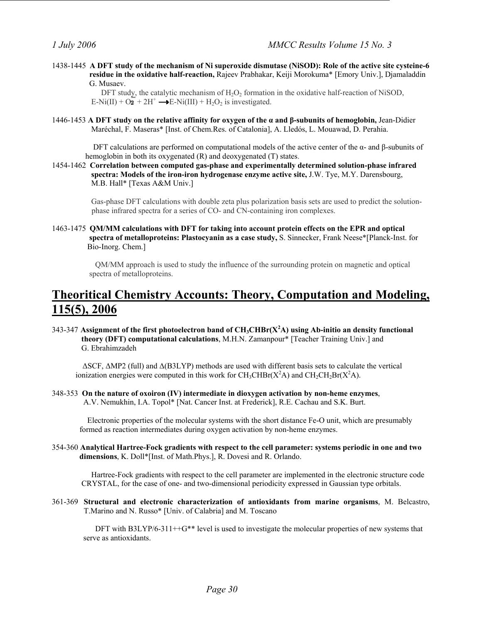1438-1445 **A DFT study of the mechanism of Ni superoxide dismutase (NiSOD): Role of the active site cysteine-6 residue in the oxidative half-reaction,** Rajeev Prabhakar, Keiji Morokuma\* [Emory Univ.], Djamaladdin G. Musaev.

> DFT study, the catalytic mechanism of  $H_2O_2$  formation in the oxidative half-reaction of NiSOD,  $E-Ni(II) + O<sub>2</sub> + 2H<sup>+</sup> \longrightarrow E-Ni(III) + H<sub>2</sub>O<sub>2</sub>$  is investigated.

1446-1453 **A DFT study on the relative affinity for oxygen of the α and β-subunits of hemoglobin,** Jean-Didier Maréchal, F. Maseras\* [Inst. of Chem.Res. of Catalonia], A. Lledós, L. Mouawad, D. Perahia.

DFT calculations are performed on computational models of the active center of the α- and β-subunits of hemoglobin in both its oxygenated (R) and deoxygenated (T) states.

1454-1462 **Correlation between computed gas-phase and experimentally determined solution-phase infrared spectra: Models of the iron-iron hydrogenase enzyme active site,** J.W. Tye, M.Y. Darensbourg, M.B. Hall\* [Texas A&M Univ.]

> Gas-phase DFT calculations with double zeta plus polarization basis sets are used to predict the solutionphase infrared spectra for a series of CO- and CN-containing iron complexes.

1463-1475 **QM/MM calculations with DFT for taking into account protein effects on the EPR and optical spectra of metalloproteins: Plastocyanin as a case study,** S. Sinnecker, Frank Neese\*[Planck-Inst. for Bio-Inorg. Chem.]

 QM/MM approach is used to study the influence of the surrounding protein on magnetic and optical spectra of metalloproteins.

# **Theoritical Chemistry Accounts: Theory, Computation and Modeling, 115(5), 2006**

343-347 **Assignment of the first photoelectron band of CH3CHBr(X<sup>2</sup> A) using Ab-initio an density functional theory (DFT) computational calculations**, M.H.N. Zamanpour\* [Teacher Training Univ.] and G. Ebrahimzadeh

 ∆SCF, ∆MP2 (full) and ∆(B3LYP) methods are used with different basis sets to calculate the vertical ionization energies were computed in this work for  $CH_3CHBr(X^2A)$  and  $CH_2CH_2Br(X^2A)$ .

348-353 **On the nature of oxoiron (IV) intermediate in dioxygen activation by non-heme enzymes**, A.V. Nemukhin, I.A. Topol\* [Nat. Cancer Inst. at Frederick], R.E. Cachau and S.K. Burt.

 Electronic properties of the molecular systems with the short distance Fe-O unit, which are presumably formed as reaction intermediates during oxygen activation by non-heme enzymes.

354-360 **Analytical Hartree-Fock gradients with respect to the cell parameter: systems periodic in one and two dimensions**, K. Doll\*[Inst. of Math.Phys.], R. Dovesi and R. Orlando.

 Hartree-Fock gradients with respect to the cell parameter are implemented in the electronic structure code CRYSTAL, for the case of one- and two-dimensional periodicity expressed in Gaussian type orbitals.

361-369 **Structural and electronic characterization of antioxidants from marine organisms**, M. Belcastro, T.Marino and N. Russo\* [Univ. of Calabria] and M. Toscano

DFT with B3LYP/6-311++ $G^*$  level is used to investigate the molecular properties of new systems that serve as antioxidants.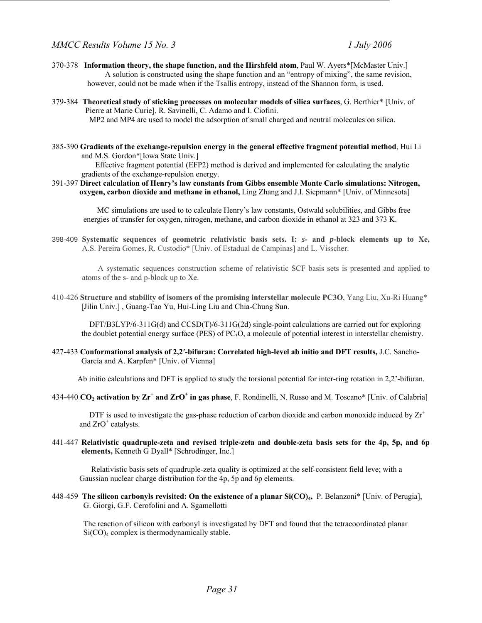- 370-378 **Information theory, the shape function, and the Hirshfeld atom**, Paul W. Ayers\*[McMaster Univ.] A solution is constructed using the shape function and an "entropy of mixing", the same revision, however, could not be made when if the Tsallis entropy, instead of the Shannon form, is used.
- 379-384 **Theoretical study of sticking processes on molecular models of silica surfaces**, G. Berthier\* [Univ. of Pierre at Marie Curie], R. Savinelli, C. Adamo and I. Ciofini. MP2 and MP4 are used to model the adsorption of small charged and neutral molecules on silica.
- 385-390 **Gradients of the exchange-repulsion energy in the general effective fragment potential method**, Hui Li and M.S. Gordon\*[Iowa State Univ.]

Effective fragment potential (EFP2) method is derived and implemented for calculating the analytic gradients of the exchange-repulsion energy.

391-397 **Direct calculation of Henry's law constants from Gibbs ensemble Monte Carlo simulations: Nitrogen, oxygen, carbon dioxide and methane in ethanol,** Ling Zhang and J.I. Siepmann\* [Univ. of Minnesota]

 MC simulations are used to to calculate Henry's law constants, Ostwald solubilities, and Gibbs free energies of transfer for oxygen, nitrogen, methane, and carbon dioxide in ethanol at 323 and 373 K.

398-409 **Systematic sequences of geometric relativistic basis sets. I:** *s***- and** *p***-block elements up to Xe,**  A.S. Pereira Gomes, R. Custodio\* [Univ. of Estadual de Campinas] and L. Visscher.

 A systematic sequences construction scheme of relativistic SCF basis sets is presented and applied to atoms of the s- and p-block up to Xe.

410-426 **Structure and stability of isomers of the promising interstellar molecule PC3O**, Yang Liu, Xu-Ri Huang\* [Jilin Univ.], Guang-Tao Yu, Hui-Ling Liu and Chia-Chung Sun.

 DFT/B3LYP/6-311G(d) and CCSD(T)/6-311G(2d) single-point calculations are carried out for exploring the doublet potential energy surface (PES) of PC3O, a molecule of potential interest in interstellar chemistry.

427-433 **Conformational analysis of 2,2′-bifuran: Correlated high-level ab initio and DFT results,** J.C. Sancho- García and A. Karpfen\* [Univ. of Vienna]

Ab initio calculations and DFT is applied to study the torsional potential for inter-ring rotation in 2,2'-bifuran.

434-440 CO<sub>2</sub> activation by  $Zr^+$  and  $ZrO^+$  in gas phase, F. Rondinelli, N. Russo and M. Toscano\* [Univ. of Calabria]

DTF is used to investigate the gas-phase reduction of carbon dioxide and carbon monoxide induced by  $Zr^+$ and  $ZrO^+$  catalysts.

441-447 **Relativistic quadruple-zeta and revised triple-zeta and double-zeta basis sets for the 4p, 5p, and 6p elements,** Kenneth G Dyall\* [Schrodinger, Inc.]

 Relativistic basis sets of quadruple-zeta quality is optimized at the self-consistent field leve; with a Gaussian nuclear charge distribution for the 4p, 5p and 6p elements.

448-459 **The silicon carbonyls revisited: On the existence of a planar Si(CO)4,** P. Belanzoni\* [Univ. of Perugia], G. Giorgi, G.F. Cerofolini and A. Sgamellotti

 The reaction of silicon with carbonyl is investigated by DFT and found that the tetracoordinated planar Si(CO)<sub>4</sub> complex is thermodynamically stable.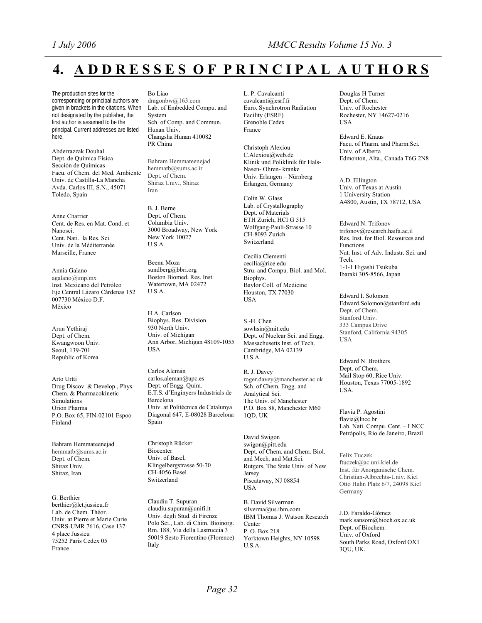# **4. A D D R E S S E S O F P R I N C I P A L A U T H O R S**

The production sites for the corresponding or principal authors are given in brackets in the citations. When not designated by the publisher, the first author is assumed to be the principal. Current addresses are listed here.

Abderrazzak Douhal Dept. de Química Física Sección de Químicas Facu. of Chem. del Med. Ambiente Univ. de Castilla-La Mancha Avda. Carlos III, S.N., 45071 Toledo, Spain

Anne Charrier Cent. de Res. en Mat. Cond. et Nanosci. Cent. Nati. la Res. Sci. Univ. de la Méditerranée Marseille, France

Annia Galano agalano@imp.mx Inst. Mexicano del Petróleo Eje Central Lázaro Cárdenas 152 007730 México D.F. México

Arun Yethiraj Dept. of Chem. Kwangwoon Univ. Seoul, 139-701 Republic of Korea

Arto Urtti Drug Discov. & Develop., Phys. Chem. & Pharmacokinetic Simulations Orion Pharma P.O. Box 65, FIN-02101 Espoo Finland

Bahram Hemmateenejad hemmatb@sums.ac.ir Dept. of Chem. Shiraz Univ. Shiraz, Iran

G. Berthier berthier@lct.jussieu.fr Lab. de Chem. Théor. Univ. at Pierre et Marie Curie CNRS-UMR 7616, Case 137 4 place Jussieu 75252 Paris Cedex 05 France

#### Bo Liao

dragonbw@163.com Lab. of Embedded Compu. and System Sch. of Comp. and Commun. Hunan Univ. Changsha Hunan 410082 PR China

Bahram Hemmateenejad hemmatb@sums.ac.ir Dept. of Chem. Shiraz Univ., Shiraz Iran

B. J. Berne Dept. of Chem. Columbia Univ. 3000 Broadway, New York New York 10027 U.S.A.

Beenu Moza sundberg@bbri.org Boston Biomed. Res. Inst. Watertown, MA 02472 U.S.A.

H.A. Carlson Biophys. Res. Division 930 North Univ. Univ. of Michigan Ann Arbor, Michigan 48109-1055 **USA** 

Carlos Alemán carlos.aleman@upc.es Dept. of Engg. Quím. E.T.S. d'Enginyers Industrials de Barcelona Univ. at Politécnica de Catalunya Diagonal 647, E-08028 Barcelona Spain

Christoph Rücker Biocenter Univ. of Basel, Klingelbergstrasse 50-70 CH-4056 Basel Switzerland

Claudiu T. Supuran claudiu.supuran@unifi.it Univ. degli Stud. di Firenze Polo Sci., Lab. di Chim. Bioinorg. Rm. 188, Via della Lastruccia 3 50019 Sesto Fiorentino (Florence) Italy

L. P. Cavalcanti cavalcanti@esrf.fr Euro. Synchrotron Radiation Facility (ESRF) Grenoble Cedex France

Christoph Alexiou C.Alexiou@web.de Klinik und Poliklinik für Hals-Nasen- Ohren- kranke Univ. Erlangen – Nürnberg Erlangen, Germany

Colin W. Glass Lab. of Crystallography Dept. of Materials ETH Zurich, HCI G 515 Wolfgang-Pauli-Strasse 10 CH-8093 Zurich Switzerland

Cecilia Clementi cecilia@rice.edu Stru. and Compu. Biol. and Mol. Biophys. Baylor Coll. of Medicine Houston, TX 77030 USA

S.-H. Chen sowhsin@mit.edu Dept. of Nuclear Sci. and Engg. Massachusetts Inst. of Tech. Cambridge, MA 02139 U.S.A.

R. J. Davey roger.davey@manchester.ac.uk Sch. of Chem. Engg. and Analytical Sci. The Univ. of Manchester P.O. Box 88, Manchester M60 1QD, UK

David Swigon swigon@pitt.edu Dept. of Chem. and Chem. Biol. and Mech. and Mat.Sci. Rutgers, The State Univ. of New Jersey Piscataway, NJ 08854 USA

B. David Silverman silverma@us.ibm.com IBM Thomas J. Watson Research Center P. O. Box 218 Yorktown Heights, NY 10598 U.S.A.

Douglas H Turner Dept. of Chem. Univ. of Rochester Rochester, NY 14627-0216 USA

Edward E. Knaus Facu. of Pharm. and Pharm.Sci. Univ. of Alberta Edmonton, Alta., Canada T6G 2N8

A.D. Ellington Univ. of Texas at Austin 1 University Station A4800, Austin, TX 78712, USA

Edward N. Trifonov trifonov@research.haifa.ac.il Res. Inst. for Biol. Resources and Functions Nat. Inst. of Adv. Industr. Sci. and Tech. 1-1-1 Higashi Tsukuba Ibaraki 305-8566, Japan

Edward I. Solomon Edward.Solomon@stanford.edu Dept. of Chem. Stanford Univ. 333 Campus Drive Stanford, California 94305 USA

Edward N. Brothers Dept. of Chem. Mail Stop 60, Rice Univ. Houston, Texas 77005-1892 USA.

Flavia P. Agostini flavia@lncc.br Lab. Nati. Compu. Cent. – LNCC Petrópolis, Rio de Janeiro, Brazil

Felix Tuczek ftuczek@ac.uni-kiel.de Inst. für Anorganische Chem. Christian-Albrechts-Univ. Kiel Otto Hahn Platz 6/7, 24098 Kiel Germany

J.D. Faraldo-Gómez mark.sansom@bioch.ox.ac.uk Dept. of Biochem. Univ. of Oxford South Parks Road, Oxford OX1 3QU, UK.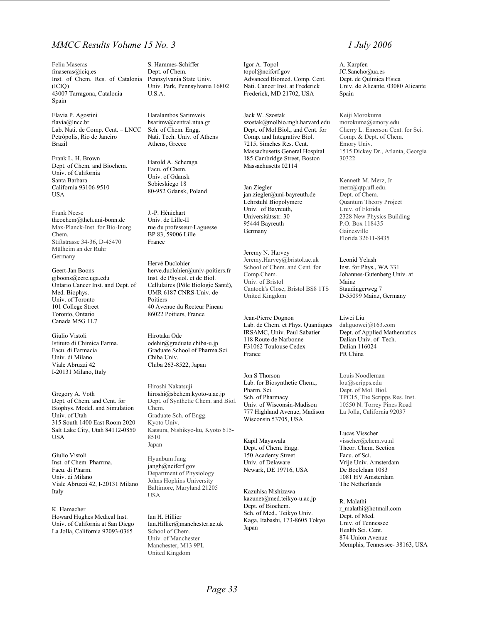### *MMCC Results Volume 15 No. 3 1 July 2006*

Feliu Maseras fmaseras@iciq.es Inst. of Chem. Res. of Catalonia (ICIQ) 43007 Tarragona, Catalonia Spain

Flavia P. Agostini flavia@lncc.br Lab. Nati. de Comp. Cent. – LNCC Petrópolis, Rio de Janeiro Brazil

Frank L. H. Brown Dept. of Chem. and Biochem. Univ. of California Santa Barbara California 93106-9510 USA

Frank Neese theochem@thch.uni-bonn.de Max-Planck-Inst. for Bio-Inorg. Chem. Stiftstrasse 34-36, D-45470 Mülheim an der Ruhr Germany

Geert-Jan Boons gjboons@ccrc.uga.edu Ontario Cancer Inst. and Dept. of Med. Biophys. Univ. of Toronto 101 College Street Toronto, Ontario Canada M5G 1L7

Giulio Vistoli Istituto di Chimica Farma. Facu. di Farmacia Univ. di Milano Viale Abruzzi 42 I-20131 Milano, Italy

Gregory A. Voth Dept. of Chem. and Cent. for Biophys. Model. and Simulation Univ. of Utah 315 South 1400 East Room 2020 Salt Lake City, Utah 84112-0850 USA

Giulio Vistoli Inst. of Chem. Pharrma. Facu. di Pharm. Univ. di Milano Viale Abruzzi 42, I-20131 Milano Italy

K. Hamacher Howard Hughes Medical Inst. Univ. of California at San Diego La Jolla, California 92093-0365

S. Hammes-Schiffer Dept. of Chem. Pennsylvania State Univ. Univ. Park, Pennsylvania 16802 U.S.A.

Haralambos Sarimveis hsarimv@central.ntua.gr Sch. of Chem. Engg. Nati. Tech. Univ. of Athens Athens, Greece

Harold A. Scheraga Facu. of Chem. Univ. of Gdansk Sobieskiego 18 80-952 Gdansk, Poland

J.-P. Hénichart Univ. de Lille-II rue du professeur-Laguesse BP 83, 59006 Lille France

Hervé Duclohier herve.duclohier@univ-poitiers.fr Inst. de Physiol. et de Biol. Cellulaires (Pôle Biologie Santé), UMR 6187 CNRS-Univ. de Poitiers 40 Avenue du Recteur Pineau 86022 Poitiers, France

Hirotaka Ode odehir@graduate.chiba-u.jp Graduate School of Pharma.Sci. Chiba Univ. Chiba 263-8522, Japan

Hiroshi Nakatsuji hiroshi@sbchem.kyoto-u.ac.jp Dept. of Synthetic Chem. and Biol. Chem. Graduate Sch. of Engg. Kyoto Univ. Katsura, Nishikyo-ku, Kyoto 615- 8510 Japan

Hyunbum Jang jangh@ncifcrf.gov Department of Physiology Johns Hopkins University Baltimore, Maryland 21205 USA

Ian H. Hillier Ian.Hillier@manchester.ac.uk School of Chem. Univ. of Manchester Manchester, M13 9PL United Kingdom

Igor A. Topol topol@ncifcrf.gov Advanced Biomed. Comp. Cent. Nati. Cancer Inst. at Frederick Frederick, MD 21702, USA

Jack W. Szostak szostak@molbio.mgh.harvard.edu Dept. of Mol.Biol., and Cent. for Comp. and Integrative Biol. 7215, Simches Res. Cent. Massachusetts General Hospital 185 Cambridge Street, Boston Massachusetts 02114

Jan Ziegler jan.ziegler@uni-bayreuth.de Lehrstuhl Biopolymere Univ. of Bayreuth, Universitätsstr. 30 95444 Bayreuth Germany

Jeremy N. Harvey Jeremy.Harvey@bristol.ac.uk School of Chem. and Cent. for Comp.Chem. Univ. of Bristol Cantock's Close, Bristol BS8 1TS United Kingdom

Jean-Pierre Dognon Lab. de Chem. et Phys. Quantiques IRSAMC, Univ. Paul Sabatier 118 Route de Narbonne F31062 Toulouse Cedex France

Jon S Thorson Lab. for Biosynthetic Chem., Pharm. Sci. Sch. of Pharmacy Univ. of Wisconsin-Madison 777 Highland Avenue, Madison Wisconsin 53705, USA

Kapil Mayawala Dept. of Chem. Engg. 150 Academy Street Univ. of Delaware Newark, DE 19716, USA

Kazuhisa Nishizawa kazunet@med.teikyo-u.ac.jp Dept. of Biochem. Sch. of Med., Teikyo Univ. Kaga, Itabashi, 173-8605 Tokyo Japan

A. Karpfen JC.Sancho@ua.es Dept. de Química Física Univ. de Alicante, 03080 Alicante Spain

Keiji Morokuma morokuma@emory.edu Cherry L. Emerson Cent. for Sci. Comp. & Dept. of Chem. Emory Univ. 1515 Dickey Dr., Atlanta, Georgia 30322

Kenneth M. Merz, Jr merz@qtp.ufl.edu. Dept. of Chem. Quantum Theory Project Univ. of Florida 2328 New Physics Building P.O. Box 118435 Gainesville Florida 32611-8435

Leonid Yelash Inst. for Phys., WA 331 Johannes-Gutenberg Univ. at Mainz Staudingerweg 7 D-55099 Mainz, Germany

Liwei Liu daliguowei@163.com Dept. of Applied Mathematics Dalian Univ. of Tech. Dalian 116024 PR China

Louis Noodleman lou@scripps.edu Dept. of Mol. Biol. TPC15, The Scripps Res. Inst. 10550 N. Torrey Pines Road La Jolla, California 92037

Lucas Visscher visscher@chem.vu.nl Theor. Chem. Section Facu. of Sci. Vrije Univ. Amsterdam De Boelelaan 1083 1081 HV Amsterdam The Netherlands

R. Malathi r\_malathi@hotmail.com Dept. of Med. Univ. of Tennessee Health Sci. Cent. 874 Union Avenue Memphis, Tennessee- 38163, USA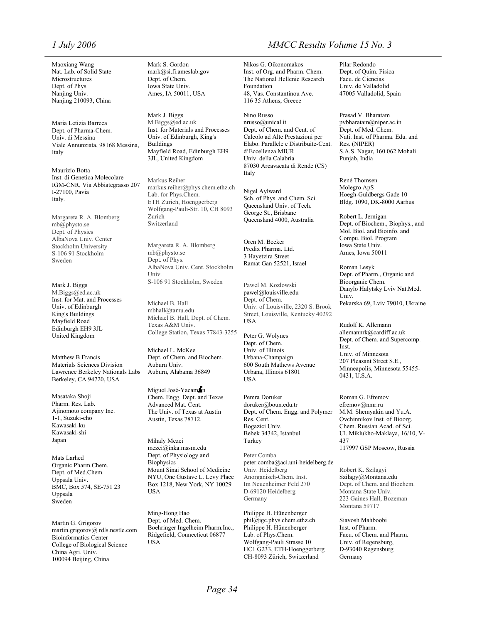Maoxiang Wang Nat. Lab. of Solid State Microstructures Dept. of Phys. Nanjing Univ. Nanjing 210093, China

Maria Letizia Barreca Dept. of Pharma-Chem. Univ. di Messina Viale Annunziata, 98168 Messina, Italy

Maurizio Botta Inst. di Genetica Molecolare IGM-CNR, Via Abbiategrasso 207 I-27100, Pavia Italy.

Margareta R. A. Blomberg mb@physto.se Dept. of Physics AlbaNova Univ. Center Stockholm University S-106 91 Stockholm Sweden

Mark J. Biggs M.Biggs@ed.ac.uk Inst. for Mat. and Processes Univ. of Edinburgh King's Buildings Mayfield Road Edinburgh EH9 3JL United Kingdom

Matthew B Francis Materials Sciences Division Lawrence Berkeley Nationals Labs Berkeley, CA 94720, USA

Masataka Shoji Pharm. Res. Lab. Ajinomoto company Inc. 1-1, Suzuki-cho Kawasaki-ku Kawasaki-shi Japan

Mats Larhed Organic Pharm.Chem. Dept. of Med.Chem. Uppsala Univ. BMC, Box 574, SE-751 23 Uppsala Sweden

Martin G. Grigorov martin.grigorov@ rdls.nestle.com Bioinformatics Center College of Biological Science China Agri. Univ. 100094 Beijing, China

Mark S. Gordon mark@si.fi.ameslab.gov Dept. of Chem. Iowa State Univ. Ames, IA 50011, USA

Mark J. Biggs M.Biggs@ed.ac.uk Inst. for Materials and Processes Univ. of Edinburgh, King's Buildings Mayfield Road, Edinburgh EH9 3JL, United Kingdom

Markus Reiher markus.reiher@phys.chem.ethz.ch Lab. for Phys.Chem. ETH Zurich, Hoenggerberg Wolfgang-Pauli-Str. 10, CH 8093 Zurich Switzerland

Margareta R. A. Blomberg mb@physto.se Dept. of Phys. AlbaNova Univ. Cent. Stockholm Univ. S-106 91 Stockholm, Sweden

Michael B. Hall mbhall@tamu.edu Michael B. Hall, Dept. of Chem. Texas A&M Univ. College Station, Texas 77843-3255

Michael L. McKee Dept. of Chem. and Biochem. Auburn Univ. Auburn, Alabama 36849

Miguel José-Yacam in Chem. Engg. Dept. and Texas Advanced Mat. Cent. The Univ. of Texas at Austin Austin, Texas 78712.

Mihaly Mezei mezei@inka.mssm.edu Dept. of Physiology and **Biophysics** Mount Sinai School of Medicine NYU, One Gustave L. Levy Place Box 1218, New York, NY 10029 USA

Ming-Hong Hao Dept. of Med. Chem. Boehringer Ingelheim Pharm.Inc., Ridgefield, Connecticut 06877 USA

## *1 July 2006 MMCC Results Volume 15 No. 3*

Nikos G. Oikonomakos Inst. of Org. and Pharm. Chem. The National Hellenic Research Foundation 48, Vas. Constantinou Ave. 116 35 Athens, Greece

Nino Russo nrusso@unical.it Dept. of Chem. and Cent. of Calcolo ad Alte Prestazioni per Elabo. Parallele e Distribuite-Cent. d'Eccellenza MIUR Univ. della Calabria 87030 Arcavacata di Rende (CS) Italy

Nigel Aylward Sch. of Phys. and Chem. Sci. Queensland Univ. of Tech. George St., Brisbane Queensland 4000, Australia

Oren M. Becker Predix Pharma. Ltd. 3 Hayetzira Street Ramat Gan 52521, Israel

Pawel M. Kozlowski pawel@louisville.edu Dept. of Chem. Univ. of Louisville, 2320 S. Brook Street, Louisville, Kentucky 40292 USA

Peter G. Wolynes Dept. of Chem. Univ. of Illinois Urbana-Champaign 600 South Mathews Avenue Urbana, Illinois 61801 **IISA** 

Pemra Doruker doruker@boun.edu.tr Dept. of Chem. Engg. and Polymer Res. Cent. Bogazici Univ. Bebek 34342, Istanbul Turkey

Peter Comba peter.comba@aci.uni-heidelberg.de Univ. Heidelberg Anorganisch-Chem. Inst. Im Neuenheimer Feld 270 D-69120 Heidelberg Germany

Philippe H. Hünenberger phil@igc.phys.chem.ethz.ch Philippe H. Hünenberger Lab. of Phys.Chem. Wolfgang-Pauli Strasse 10 HC1 G233, ETH-Hoenggerberg CH-8093 Zürich, Switzerland

Pilar Redondo Dept. of Quím. Física Facu. de Ciencias Univ. de Valladolid 47005 Valladolid, Spain

Prasad V. Bharatam pvbharatam@niper.ac.in Dept. of Med. Chem. Nati. Inst. of Pharma. Edu. and Res. (NIPER) S.A.S. Nagar, 160 062 Mohali Punjab, India

René Thomsen Molegro ApS Hoegh-Guldbergs Gade 10 Bldg. 1090, DK-8000 Aarhus

Robert L. Jernigan Dept. of Biochem., Biophys., and Mol. Biol. and Bioinfo. and Compu. Biol. Program Iowa State Univ. Ames, Iowa 50011

Roman Lesyk Dept. of Pharm., Organic and Bioorganic Chem. Danylo Halytsky Lviv Nat.Med. Univ. Pekarska 69, Lviv 79010, Ukraine

Rudolf K. Allemann allemannrk@cardiff.ac.uk Dept. of Chem. and Supercomp. Inst. Univ. of Minnesota 207 Pleasant Street S.E., Minneapolis, Minnesota 55455- 0431, U.S.A.

Roman G. Efremov efremov@nmr.ru M.M. Shemyakin and Yu.A. Ovchinnikov Inst. of Bioorg. Chem. Russian Acad. of Sci. Ul. Miklukho-Maklaya, 16/10, V-437 117997 GSP Moscow, Russia

Robert K. Szilagyi Szilagy@Montana.edu Dept. of Chem. and Biochem. Montana State Univ. 223 Gaines Hall, Bozeman Montana 59717

Siavosh Mahboobi Inst. of Pharm. Facu. of Chem. and Pharm. Univ. of Regensburg, D-93040 Regensburg Germany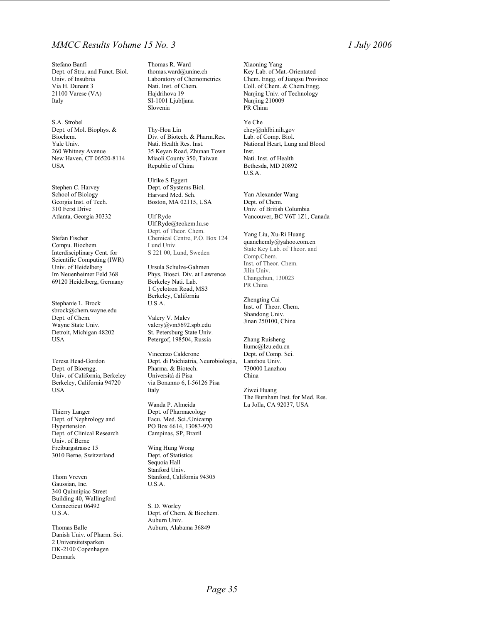### *MMCC Results Volume 15 No. 3 1 July 2006*

Stefano Banfi Dept. of Stru. and Funct. Biol. Univ. of Insubria Via H. Dunant 3 21100 Varese (VA) Italy

S.A. Strobel Dept. of Mol. Biophys. & Biochem. Yale Univ. 260 Whitney Avenue New Haven, CT 06520-8114 USA

Stephen C. Harvey School of Biology Georgia Inst. of Tech. 310 Ferst Drive Atlanta, Georgia 30332

Stefan Fischer Compu. Biochem. Interdisciplinary Cent. for Scientific Computing (IWR) Univ. of Heidelberg Im Neuenheimer Feld 368 69120 Heidelberg, Germany

Stephanie L. Brock sbrock@chem.wayne.edu Dept. of Chem. Wayne State Univ. Detroit, Michigan 48202 USA

Teresa Head-Gordon Dept. of Bioengg. Univ. of California, Berkeley Berkeley, California 94720 USA

Thierry Langer Dept. of Nephrology and Hypertension Dept. of Clinical Research Univ. of Berne Freiburgstrasse 15 3010 Berne, Switzerland

Thom Vreven Gaussian, Inc. 340 Quinnipiac Street Building 40, Wallingford Connecticut 06492 U.S.A.

Thomas Balle Danish Univ. of Pharm. Sci. 2 Universitetsparken DK-2100 Copenhagen Denmark

Thomas R. Ward thomas.ward@unine.ch Laboratory of Chemometrics Nati. Inst. of Chem. Hajdrihova 19 SI-1001 Ljubljana Slovenia

Thy-Hou Lin Div. of Biotech. & Pharm.Res. Nati. Health Res. Inst. 35 Keyan Road, Zhunan Town Miaoli County 350, Taiwan Republic of China

Ulrike S Eggert Dept. of Systems Biol. Harvard Med. Sch. Boston, MA 02115, USA

Ulf Ryde Ulf.Ryde@teokem.lu.se Dept. of Theor. Chem. Chemical Centre, P.O. Box 124 Lund Univ. S 221 00, Lund, Sweden

Ursula Schulze-Gahmen Phys. Biosci. Div. at Lawrence Berkeley Nati. Lab. 1 Cyclotron Road, MS3 Berkeley, California U.S.A.

Valery V. Malev valery@vm5692.spb.edu St. Petersburg State Univ. Petergof, 198504, Russia

Vincenzo Calderone Dept. di Psichiatria, Neurobiologia, Pharma. & Biotech. Università di Pisa via Bonanno 6, I-56126 Pisa Italy

Wanda P. Almeida Dept. of Pharmacology Facu. Med. Sci./Unicamp PO Box 6614, 13083-970 Campinas, SP, Brazil

Wing Hung Wong Dept. of Statistics Sequoia Hall Stanford Univ. Stanford, California 94305 U.S.A.

S. D. Worley Dept. of Chem. & Biochem. Auburn Univ. Auburn, Alabama 36849

Xiaoning Yang Key Lab. of Mat.-Orientated Chem. Engg. of Jiangsu Province Coll. of Chem. & Chem.Engg. Nanjing Univ. of Technology Nanjing 210009 PR China

Ye Che chey@nhlbi.nih.gov Lab. of Comp. Biol. National Heart, Lung and Blood Inst. Nati. Inst. of Health Bethesda, MD 20892 U.S.A.

Yan Alexander Wang Dept. of Chem. Univ. of British Columbia Vancouver, BC V6T 1Z1, Canada

Yang Liu, Xu-Ri Huang quanchemly@yahoo.com.cn State Key Lab. of Theor. and Comp.Chem. Inst. of Theor. Chem. Jilin Univ. Changchun, 130023 PR China

Zhengting Cai Inst. of Theor. Chem. Shandong Univ. Jinan 250100, China

Zhang Ruisheng liumc@lzu.edu.cn Dept. of Comp. Sci. Lanzhou Univ. 730000 Lanzhou China

Ziwei Huang The Burnham Inst. for Med. Res. La Jolla, CA 92037, USA